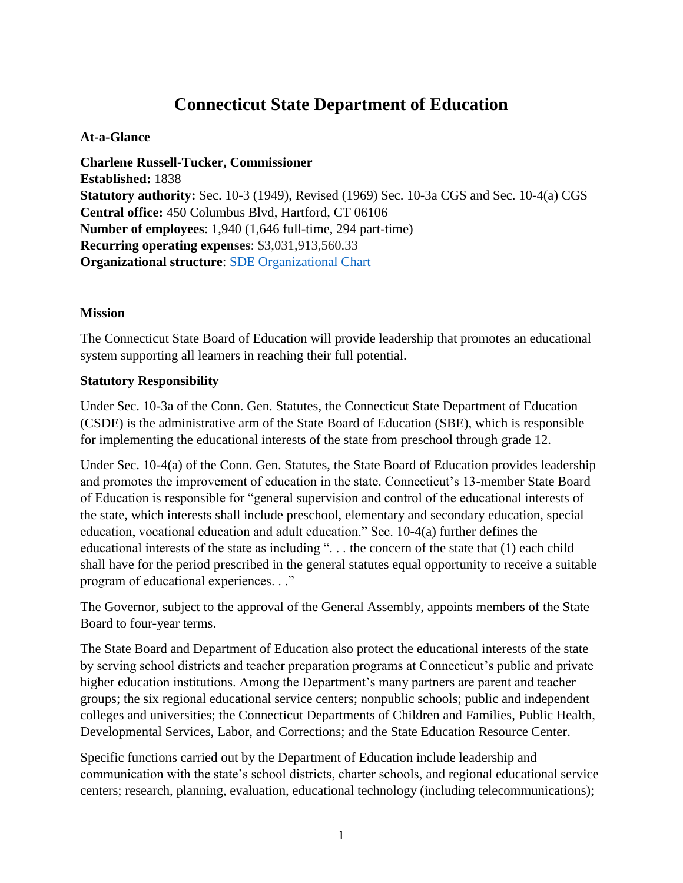# **Connecticut State Department of Education**

#### **At-a-Glance**

**Charlene Russell-Tucker, Commissioner Established:** 1838 **Statutory authority:** Sec. 10-3 (1949), Revised (1969) Sec. 10-3a CGS and Sec. 10-4(a) CGS **Central office:** 450 Columbus Blvd, Hartford, CT 06106 **Number of employees**: 1,940 (1,646 full-time, 294 part-time) **Recurring operating expenses**: \$3,031,913,560.33 **Organizational structure**: [SDE Organizational Chart](https://portal.ct.gov/-/media/SDE/About-Us/SDE_Organization_Chart.pdf)

### **Mission**

The Connecticut State Board of Education will provide leadership that promotes an educational system supporting all learners in reaching their full potential.

### **Statutory Responsibility**

Under Sec. 10-3a of the Conn. Gen. Statutes, the Connecticut State Department of Education (CSDE) is the administrative arm of the State Board of Education (SBE), which is responsible for implementing the educational interests of the state from preschool through grade 12.

Under Sec. 10-4(a) of the Conn. Gen. Statutes, the State Board of Education provides leadership and promotes the improvement of education in the state. Connecticut's 13-member State Board of Education is responsible for "general supervision and control of the educational interests of the state, which interests shall include preschool, elementary and secondary education, special education, vocational education and adult education." Sec. 10-4(a) further defines the educational interests of the state as including ". . . the concern of the state that (1) each child shall have for the period prescribed in the general statutes equal opportunity to receive a suitable program of educational experiences. . ."

The Governor, subject to the approval of the General Assembly, appoints members of the State Board to four-year terms.

The State Board and Department of Education also protect the educational interests of the state by serving school districts and teacher preparation programs at Connecticut's public and private higher education institutions. Among the Department's many partners are parent and teacher groups; the six regional educational service centers; nonpublic schools; public and independent colleges and universities; the Connecticut Departments of Children and Families, Public Health, Developmental Services, Labor, and Corrections; and the State Education Resource Center.

Specific functions carried out by the Department of Education include leadership and communication with the state's school districts, charter schools, and regional educational service centers; research, planning, evaluation, educational technology (including telecommunications);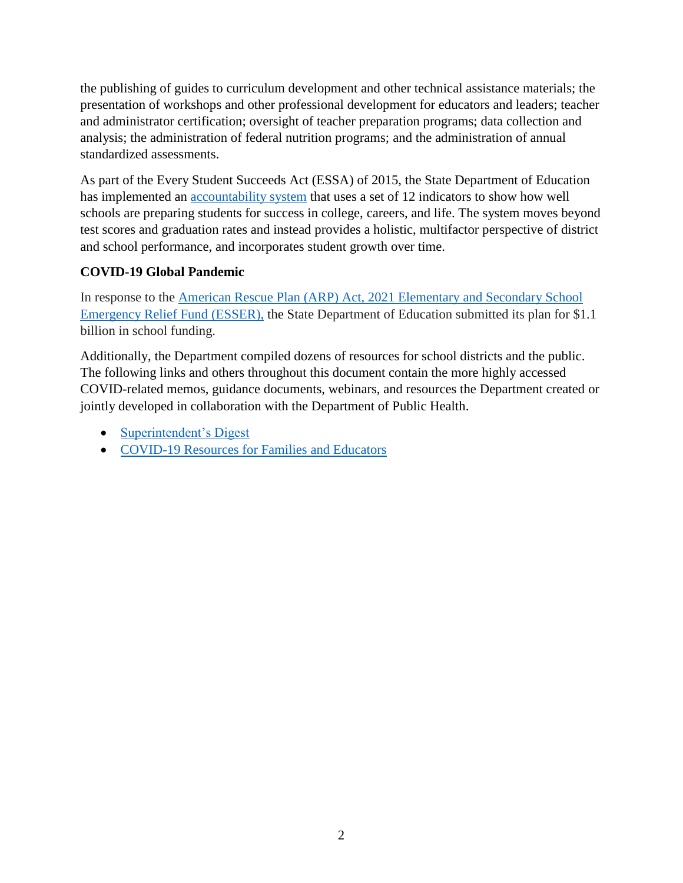the publishing of guides to curriculum development and other technical assistance materials; the presentation of workshops and other professional development for educators and leaders; teacher and administrator certification; oversight of teacher preparation programs; data collection and analysis; the administration of federal nutrition programs; and the administration of annual standardized assessments.

As part of the Every Student Succeeds Act (ESSA) of 2015, the State Department of Education has implemented an [accountability system](https://portal.ct.gov/SDE/Performance/Performance-and-Accountability/Next-Generation-Accountability-System) that uses a set of 12 indicators to show how well schools are preparing students for success in college, careers, and life. The system moves beyond test scores and graduation rates and instead provides a holistic, multifactor perspective of district and school performance, and incorporates student growth over time.

# **COVID-19 Global Pandemic**

In response to the [American Rescue Plan \(ARP\) Act, 2021 Elementary and Secondary School](https://portal.ct.gov/SDE/COVID19/COVID-19-Resources-for-Families-and-Educators/ARP-ESSER)  [Emergency Relief Fund \(ESSER\),](https://portal.ct.gov/SDE/COVID19/COVID-19-Resources-for-Families-and-Educators/ARP-ESSER) the State Department of Education submitted its plan for \$1.1 billion in school funding.

Additionally, the Department compiled dozens of resources for school districts and the public. The following links and others throughout this document contain the more highly accessed COVID-related memos, guidance documents, webinars, and resources the Department created or jointly developed in collaboration with the Department of Public Health.

- [Superintendent's Digest](https://portal.ct.gov/SDE/Digest/Superintendents-Digest)
- COVID-19 Resources [for Families and Educators](https://portal.ct.gov/SDE/COVID19/COVID-19-Resources-for-Families-and-Educators)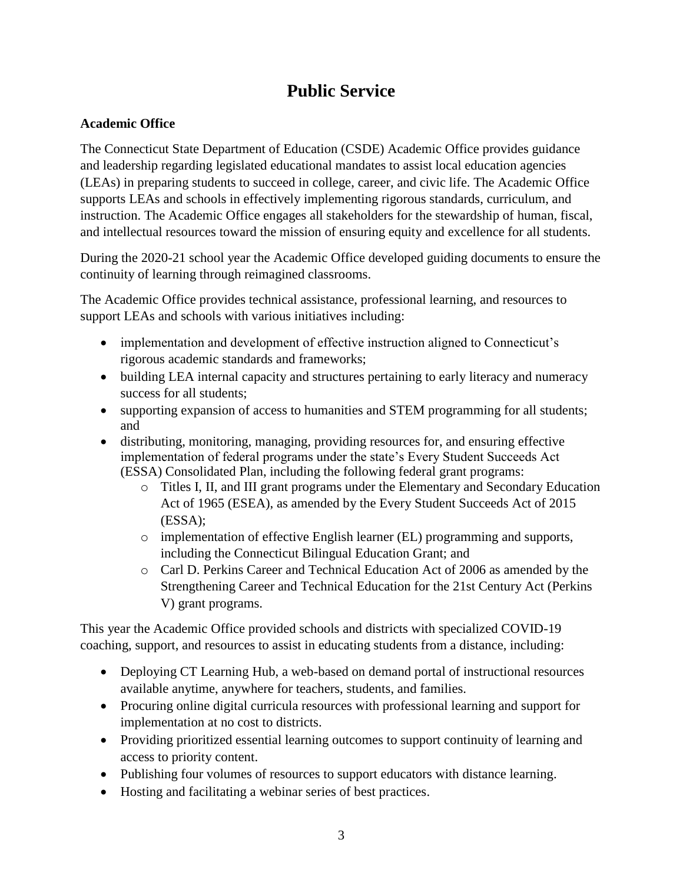# **Public Service**

### **Academic Office**

The Connecticut State Department of Education (CSDE) Academic Office provides guidance and leadership regarding legislated educational mandates to assist local education agencies (LEAs) in preparing students to succeed in college, career, and civic life. The Academic Office supports LEAs and schools in effectively implementing rigorous standards, curriculum, and instruction. The Academic Office engages all stakeholders for the stewardship of human, fiscal, and intellectual resources toward the mission of ensuring equity and excellence for all students.

During the 2020-21 school year the Academic Office developed guiding documents to ensure the continuity of learning through reimagined classrooms.

The Academic Office provides technical assistance, professional learning, and resources to support LEAs and schools with various initiatives including:

- implementation and development of effective instruction aligned to Connecticut's rigorous academic standards and frameworks;
- building LEA internal capacity and structures pertaining to early literacy and numeracy success for all students;
- supporting expansion of access to humanities and STEM programming for all students; and
- distributing, monitoring, managing, providing resources for, and ensuring effective implementation of federal programs under the state's Every Student Succeeds Act (ESSA) Consolidated Plan, including the following federal grant programs:
	- o Titles I, II, and III grant programs under the Elementary and Secondary Education Act of 1965 (ESEA), as amended by the Every Student Succeeds Act of 2015 (ESSA);
	- o implementation of effective English learner (EL) programming and supports, including the Connecticut Bilingual Education Grant; and
	- o Carl D. Perkins Career and Technical Education Act of 2006 as amended by the Strengthening Career and Technical Education for the 21st Century Act (Perkins V) grant programs.

This year the Academic Office provided schools and districts with specialized COVID-19 coaching, support, and resources to assist in educating students from a distance, including:

- Deploying CT Learning Hub, a web-based on demand portal of instructional resources available anytime, anywhere for teachers, students, and families.
- Procuring online digital curricula resources with professional learning and support for implementation at no cost to districts.
- Providing prioritized essential learning outcomes to support continuity of learning and access to priority content.
- Publishing four volumes of resources to support educators with distance learning.
- Hosting and facilitating a webinar series of best practices.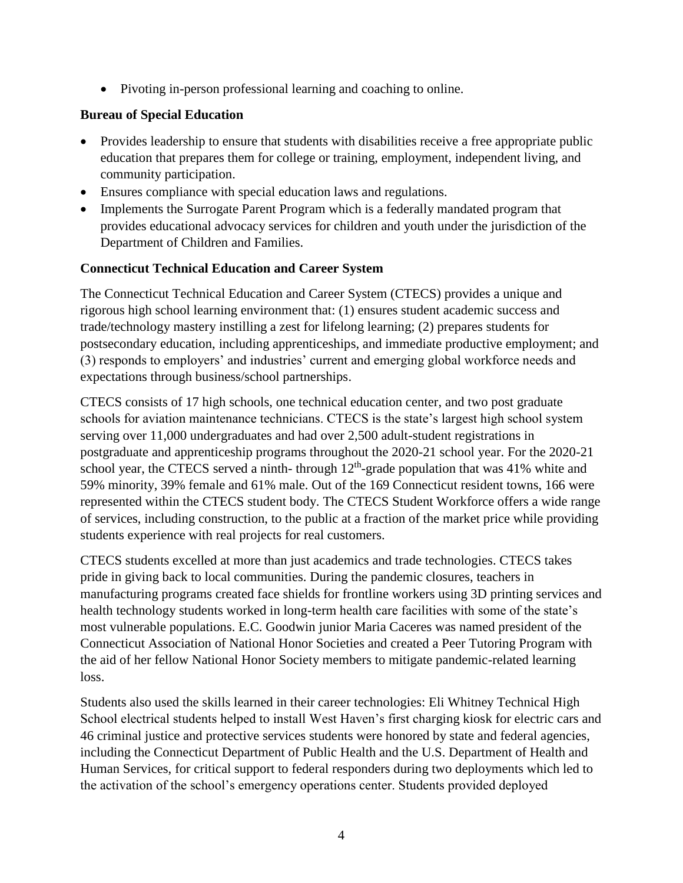Pivoting in-person professional learning and coaching to online.

### **Bureau of Special Education**

- Provides leadership to ensure that students with disabilities receive a free appropriate public education that prepares them for college or training, employment, independent living, and community participation.
- Ensures compliance with special education laws and regulations.
- Implements the Surrogate Parent Program which is a federally mandated program that provides educational advocacy services for children and youth under the jurisdiction of the Department of Children and Families.

### **Connecticut Technical Education and Career System**

The Connecticut Technical Education and Career System (CTECS) provides a unique and rigorous high school learning environment that: (1) ensures student academic success and trade/technology mastery instilling a zest for lifelong learning; (2) prepares students for postsecondary education, including apprenticeships, and immediate productive employment; and (3) responds to employers' and industries' current and emerging global workforce needs and expectations through business/school partnerships.

CTECS consists of 17 high schools, one technical education center, and two post graduate schools for aviation maintenance technicians. CTECS is the state's largest high school system serving over 11,000 undergraduates and had over 2,500 adult-student registrations in postgraduate and apprenticeship programs throughout the 2020-21 school year. For the 2020-21 school year, the CTECS served a ninth-through  $12<sup>th</sup>$ -grade population that was 41% white and 59% minority, 39% female and 61% male. Out of the 169 Connecticut resident towns, 166 were represented within the CTECS student body. The CTECS Student Workforce offers a wide range of services, including construction, to the public at a fraction of the market price while providing students experience with real projects for real customers.

CTECS students excelled at more than just academics and trade technologies. CTECS takes pride in giving back to local communities. During the pandemic closures, teachers in manufacturing programs created face shields for frontline workers using 3D printing services and health technology students worked in long-term health care facilities with some of the state's most vulnerable populations. E.C. Goodwin junior Maria Caceres was named president of the Connecticut Association of National Honor Societies and created a Peer Tutoring Program with the aid of her fellow National Honor Society members to mitigate pandemic-related learning loss.

Students also used the skills learned in their career technologies: Eli Whitney Technical High School electrical students helped to install West Haven's first charging kiosk for electric cars and 46 criminal justice and protective services students were honored by state and federal agencies, including the Connecticut Department of Public Health and the U.S. Department of Health and Human Services, for critical support to federal responders during two deployments which led to the activation of the school's emergency operations center. Students provided deployed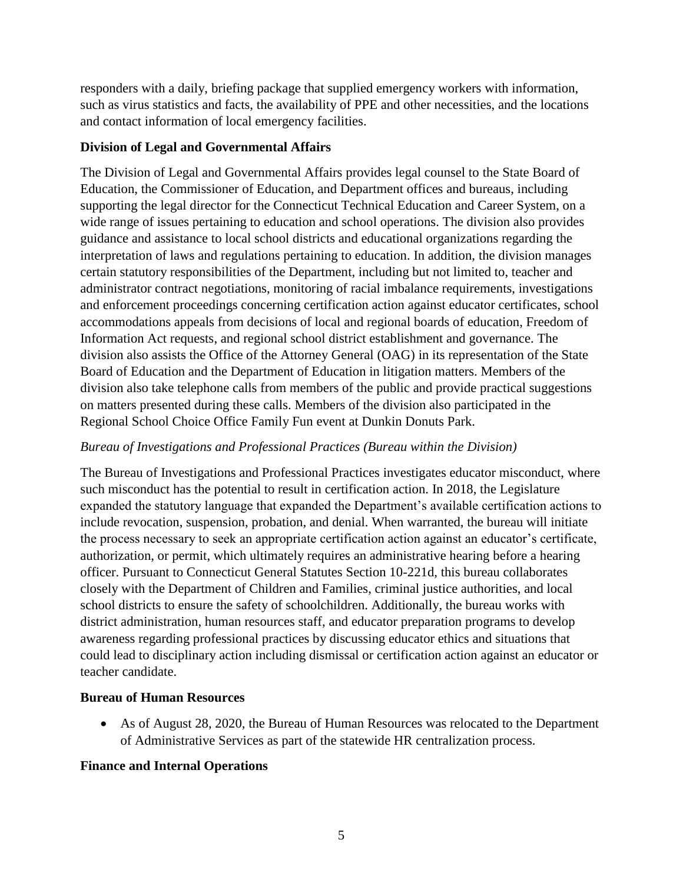responders with a daily, briefing package that supplied emergency workers with information, such as virus statistics and facts, the availability of PPE and other necessities, and the locations and contact information of local emergency facilities.

#### **Division of Legal and Governmental Affairs**

The Division of Legal and Governmental Affairs provides legal counsel to the State Board of Education, the Commissioner of Education, and Department offices and bureaus, including supporting the legal director for the Connecticut Technical Education and Career System, on a wide range of issues pertaining to education and school operations. The division also provides guidance and assistance to local school districts and educational organizations regarding the interpretation of laws and regulations pertaining to education. In addition, the division manages certain statutory responsibilities of the Department, including but not limited to, teacher and administrator contract negotiations, monitoring of racial imbalance requirements, investigations and enforcement proceedings concerning certification action against educator certificates, school accommodations appeals from decisions of local and regional boards of education, Freedom of Information Act requests, and regional school district establishment and governance. The division also assists the Office of the Attorney General (OAG) in its representation of the State Board of Education and the Department of Education in litigation matters. Members of the division also take telephone calls from members of the public and provide practical suggestions on matters presented during these calls. Members of the division also participated in the Regional School Choice Office Family Fun event at Dunkin Donuts Park.

#### *Bureau of Investigations and Professional Practices (Bureau within the Division)*

The Bureau of Investigations and Professional Practices investigates educator misconduct, where such misconduct has the potential to result in certification action. In 2018, the Legislature expanded the statutory language that expanded the Department's available certification actions to include revocation, suspension, probation, and denial. When warranted, the bureau will initiate the process necessary to seek an appropriate certification action against an educator's certificate, authorization, or permit, which ultimately requires an administrative hearing before a hearing officer. Pursuant to Connecticut General Statutes Section 10-221d, this bureau collaborates closely with the Department of Children and Families, criminal justice authorities, and local school districts to ensure the safety of schoolchildren. Additionally, the bureau works with district administration, human resources staff, and educator preparation programs to develop awareness regarding professional practices by discussing educator ethics and situations that could lead to disciplinary action including dismissal or certification action against an educator or teacher candidate.

#### **Bureau of Human Resources**

 As of August 28, 2020, the Bureau of Human Resources was relocated to the Department of Administrative Services as part of the statewide HR centralization process.

# **Finance and Internal Operations**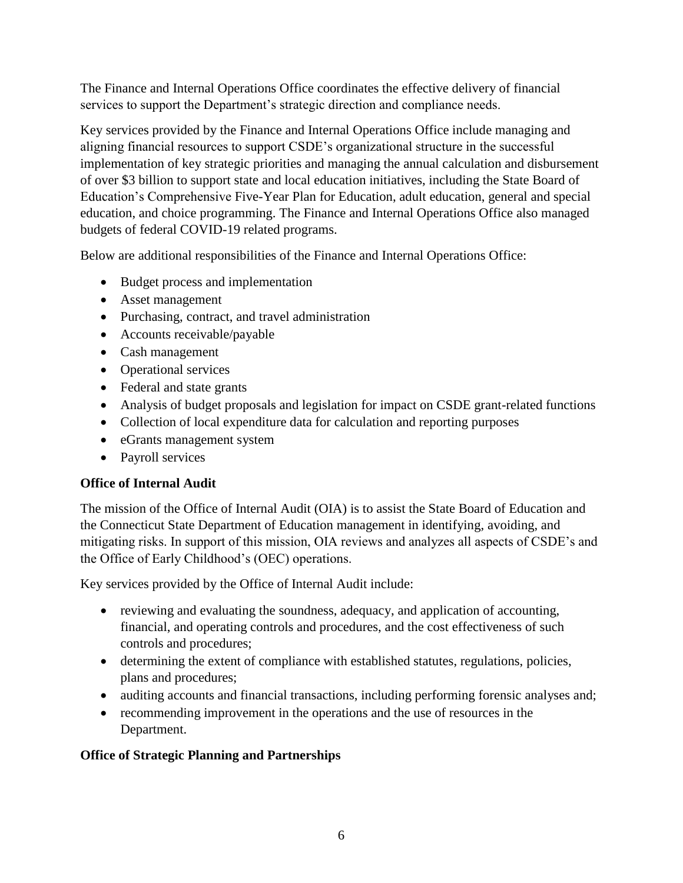The Finance and Internal Operations Office coordinates the effective delivery of financial services to support the Department's strategic direction and compliance needs.

Key services provided by the Finance and Internal Operations Office include managing and aligning financial resources to support CSDE's organizational structure in the successful implementation of key strategic priorities and managing the annual calculation and disbursement of over \$3 billion to support state and local education initiatives, including the State Board of Education's Comprehensive Five-Year Plan for Education, adult education, general and special education, and choice programming. The Finance and Internal Operations Office also managed budgets of federal COVID-19 related programs.

Below are additional responsibilities of the Finance and Internal Operations Office:

- Budget process and implementation
- Asset management
- Purchasing, contract, and travel administration
- Accounts receivable/payable
- Cash management
- Operational services
- Federal and state grants
- Analysis of budget proposals and legislation for impact on CSDE grant-related functions
- Collection of local expenditure data for calculation and reporting purposes
- eGrants management system
- Payroll services

#### **Office of Internal Audit**

The mission of the Office of Internal Audit (OIA) is to assist the State Board of Education and the Connecticut State Department of Education management in identifying, avoiding, and mitigating risks. In support of this mission, OIA reviews and analyzes all aspects of CSDE's and the Office of Early Childhood's (OEC) operations.

Key services provided by the Office of Internal Audit include:

- reviewing and evaluating the soundness, adequacy, and application of accounting, financial, and operating controls and procedures, and the cost effectiveness of such controls and procedures;
- determining the extent of compliance with established statutes, regulations, policies, plans and procedures;
- auditing accounts and financial transactions, including performing forensic analyses and;
- recommending improvement in the operations and the use of resources in the Department.

#### **Office of Strategic Planning and Partnerships**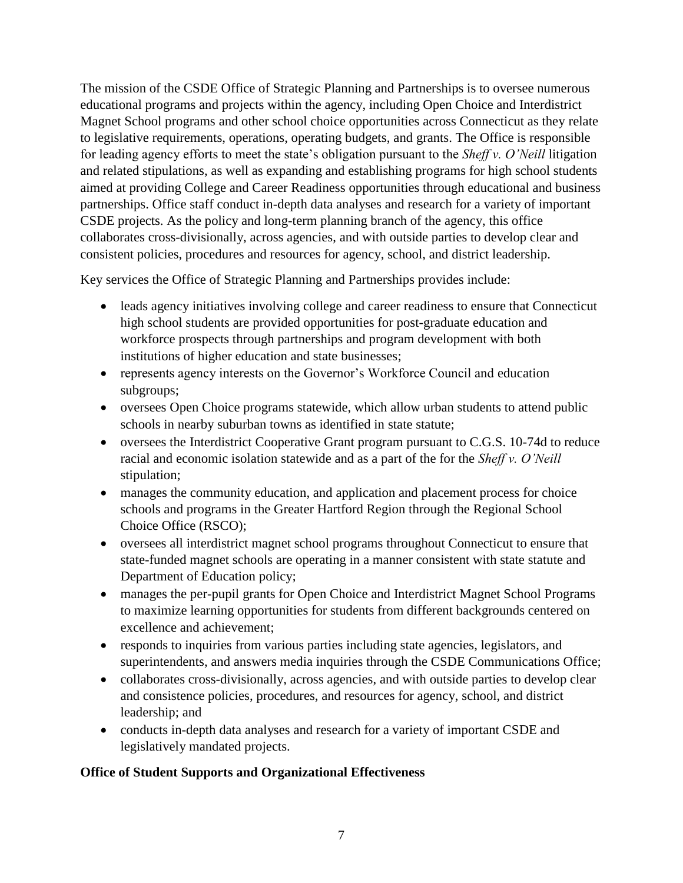The mission of the CSDE Office of Strategic Planning and Partnerships is to oversee numerous educational programs and projects within the agency, including Open Choice and Interdistrict Magnet School programs and other school choice opportunities across Connecticut as they relate to legislative requirements, operations, operating budgets, and grants. The Office is responsible for leading agency efforts to meet the state's obligation pursuant to the *Sheff v. O'Neill* litigation and related stipulations, as well as expanding and establishing programs for high school students aimed at providing College and Career Readiness opportunities through educational and business partnerships. Office staff conduct in-depth data analyses and research for a variety of important CSDE projects. As the policy and long-term planning branch of the agency, this office collaborates cross-divisionally, across agencies, and with outside parties to develop clear and consistent policies, procedures and resources for agency, school, and district leadership.

Key services the Office of Strategic Planning and Partnerships provides include:

- leads agency initiatives involving college and career readiness to ensure that Connecticut high school students are provided opportunities for post-graduate education and workforce prospects through partnerships and program development with both institutions of higher education and state businesses;
- represents agency interests on the Governor's Workforce Council and education subgroups;
- oversees Open Choice programs statewide, which allow urban students to attend public schools in nearby suburban towns as identified in state statute;
- oversees the Interdistrict Cooperative Grant program pursuant to C.G.S. 10-74d to reduce racial and economic isolation statewide and as a part of the for the *Sheff v. O'Neill*  stipulation;
- manages the community education, and application and placement process for choice schools and programs in the Greater Hartford Region through the Regional School Choice Office (RSCO);
- oversees all interdistrict magnet school programs throughout Connecticut to ensure that state-funded magnet schools are operating in a manner consistent with state statute and Department of Education policy;
- manages the per-pupil grants for Open Choice and Interdistrict Magnet School Programs to maximize learning opportunities for students from different backgrounds centered on excellence and achievement;
- responds to inquiries from various parties including state agencies, legislators, and superintendents, and answers media inquiries through the CSDE Communications Office;
- collaborates cross-divisionally, across agencies, and with outside parties to develop clear and consistence policies, procedures, and resources for agency, school, and district leadership; and
- conducts in-depth data analyses and research for a variety of important CSDE and legislatively mandated projects.

# **Office of Student Supports and Organizational Effectiveness**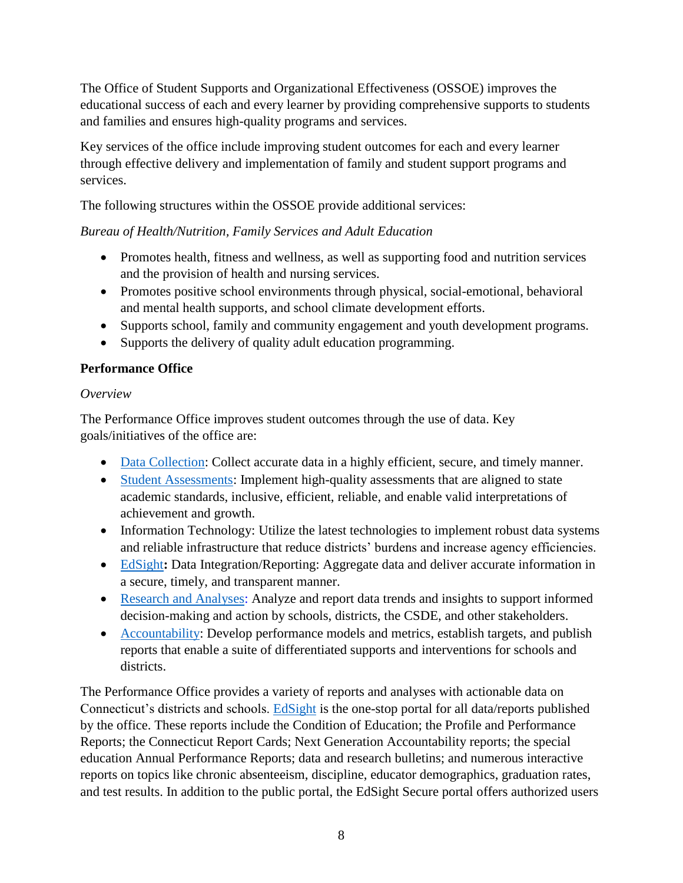The Office of Student Supports and Organizational Effectiveness (OSSOE) improves the educational success of each and every learner by providing comprehensive supports to students and families and ensures high-quality programs and services.

Key services of the office include improving student outcomes for each and every learner through effective delivery and implementation of family and student support programs and services.

The following structures within the OSSOE provide additional services:

# *Bureau of Health/Nutrition, Family Services and Adult Education*

- Promotes health, fitness and wellness, as well as supporting food and nutrition services and the provision of health and nursing services.
- Promotes positive school environments through physical, social-emotional, behavioral and mental health supports, and school climate development efforts.
- Supports school, family and community engagement and youth development programs.
- Supports the delivery of quality adult education programming.

# **Performance Office**

# *Overview*

The Performance Office improves student outcomes through the use of data. Key goals/initiatives of the office are:

- [Data Collection:](https://portal.ct.gov/SDE/Performance/Data-Collections-Guide) Collect accurate data in a highly efficient, secure, and timely manner.
- [Student Assessments:](https://portal.ct.gov/SDE/Student-Assessment/Main-Assessment/Student-Assessment) Implement high-quality assessments that are aligned to state academic standards, inclusive, efficient, reliable, and enable valid interpretations of achievement and growth.
- Information Technology: Utilize the latest technologies to implement robust data systems and reliable infrastructure that reduce districts' burdens and increase agency efficiencies.
- [EdSight](http://edsight.ct.gov/)**:** Data Integration/Reporting: Aggregate data and deliver accurate information in a secure, timely, and transparent manner.
- Research and Analyses: Analyze and report data trends and insights to support informed decision-making and action by schools, districts, the CSDE, and other stakeholders.
- [Accountability:](https://portal.ct.gov/SDE/Performance/Performance-and-Accountability/Next-Generation-Accountability-System) Develop performance models and metrics, establish targets, and publish reports that enable a suite of differentiated supports and interventions for schools and districts.

The Performance Office provides a variety of reports and analyses with actionable data on Connecticut's districts and schools. [EdSight](http://edsight.ct.gov/) is the one-stop portal for all data/reports published by the office. These reports include the Condition of Education; the Profile and Performance Reports; the Connecticut Report Cards; Next Generation Accountability reports; the special education Annual Performance Reports; data and research bulletins; and numerous interactive reports on topics like chronic absenteeism, discipline, educator demographics, graduation rates, and test results. In addition to the public portal, the EdSight Secure portal offers authorized users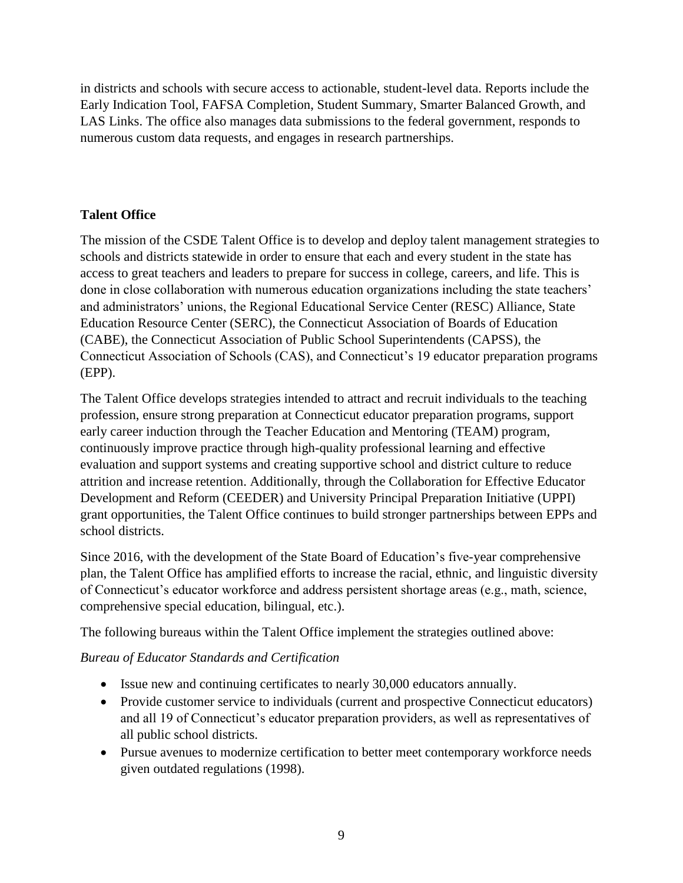in districts and schools with secure access to actionable, student-level data. Reports include the Early Indication Tool, FAFSA Completion, Student Summary, Smarter Balanced Growth, and LAS Links. The office also manages data submissions to the federal government, responds to numerous custom data requests, and engages in research partnerships.

# **Talent Office**

The mission of the CSDE Talent Office is to develop and deploy talent management strategies to schools and districts statewide in order to ensure that each and every student in the state has access to great teachers and leaders to prepare for success in college, careers, and life. This is done in close collaboration with numerous education organizations including the state teachers' and administrators' unions, the Regional Educational Service Center (RESC) Alliance, State Education Resource Center (SERC), the Connecticut Association of Boards of Education (CABE), the Connecticut Association of Public School Superintendents (CAPSS), the Connecticut Association of Schools (CAS), and Connecticut's 19 educator preparation programs (EPP).

The Talent Office develops strategies intended to attract and recruit individuals to the teaching profession, ensure strong preparation at Connecticut educator preparation programs, support early career induction through the Teacher Education and Mentoring (TEAM) program, continuously improve practice through high-quality professional learning and effective evaluation and support systems and creating supportive school and district culture to reduce attrition and increase retention. Additionally, through the Collaboration for Effective Educator Development and Reform (CEEDER) and University Principal Preparation Initiative (UPPI) grant opportunities, the Talent Office continues to build stronger partnerships between EPPs and school districts.

Since 2016, with the development of the State Board of Education's five-year comprehensive plan, the Talent Office has amplified efforts to increase the racial, ethnic, and linguistic diversity of Connecticut's educator workforce and address persistent shortage areas (e.g., math, science, comprehensive special education, bilingual, etc.).

The following bureaus within the Talent Office implement the strategies outlined above:

# *Bureau of Educator Standards and Certification*

- Issue new and continuing certificates to nearly 30,000 educators annually.
- Provide customer service to individuals (current and prospective Connecticut educators) and all 19 of Connecticut's educator preparation providers, as well as representatives of all public school districts.
- Pursue avenues to modernize certification to better meet contemporary workforce needs given outdated regulations (1998).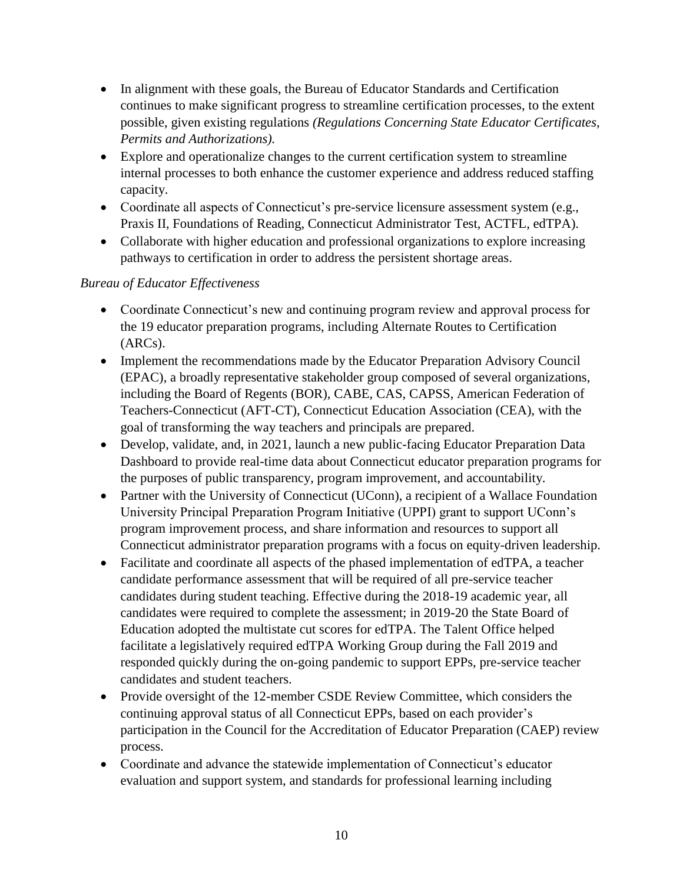- In alignment with these goals, the Bureau of Educator Standards and Certification continues to make significant progress to streamline certification processes, to the extent possible, given existing regulations *(Regulations Concerning State Educator Certificates, Permits and Authorizations).*
- Explore and operationalize changes to the current certification system to streamline internal processes to both enhance the customer experience and address reduced staffing capacity.
- Coordinate all aspects of Connecticut's pre-service licensure assessment system (e.g., Praxis II, Foundations of Reading, Connecticut Administrator Test, ACTFL, edTPA).
- Collaborate with higher education and professional organizations to explore increasing pathways to certification in order to address the persistent shortage areas.

### *Bureau of Educator Effectiveness*

- Coordinate Connecticut's new and continuing program review and approval process for the 19 educator preparation programs, including Alternate Routes to Certification (ARCs).
- Implement the recommendations made by the Educator Preparation Advisory Council (EPAC), a broadly representative stakeholder group composed of several organizations, including the Board of Regents (BOR), CABE, CAS, CAPSS, American Federation of Teachers-Connecticut (AFT-CT), Connecticut Education Association (CEA), with the goal of transforming the way teachers and principals are prepared.
- Develop, validate, and, in 2021, launch a new public-facing Educator Preparation Data Dashboard to provide real-time data about Connecticut educator preparation programs for the purposes of public transparency, program improvement, and accountability.
- Partner with the University of Connecticut (UConn), a recipient of a Wallace Foundation University Principal Preparation Program Initiative (UPPI) grant to support UConn's program improvement process, and share information and resources to support all Connecticut administrator preparation programs with a focus on equity-driven leadership.
- Facilitate and coordinate all aspects of the phased implementation of edTPA, a teacher candidate performance assessment that will be required of all pre-service teacher candidates during student teaching. Effective during the 2018-19 academic year, all candidates were required to complete the assessment; in 2019-20 the State Board of Education adopted the multistate cut scores for edTPA. The Talent Office helped facilitate a legislatively required edTPA Working Group during the Fall 2019 and responded quickly during the on-going pandemic to support EPPs, pre-service teacher candidates and student teachers.
- Provide oversight of the 12-member CSDE Review Committee, which considers the continuing approval status of all Connecticut EPPs, based on each provider's participation in the Council for the Accreditation of Educator Preparation (CAEP) review process.
- Coordinate and advance the statewide implementation of Connecticut's educator evaluation and support system, and standards for professional learning including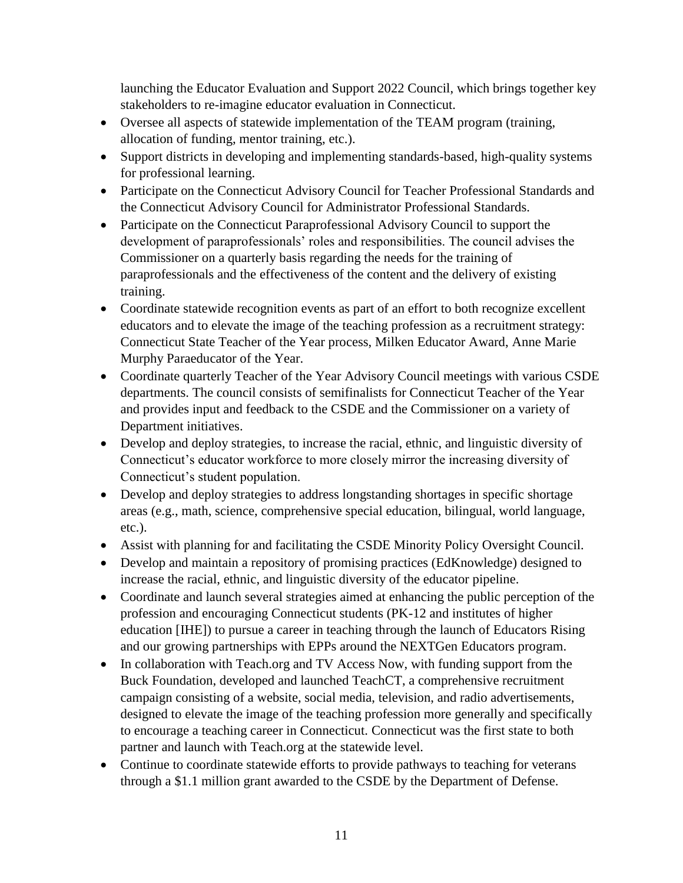launching the Educator Evaluation and Support 2022 Council, which brings together key stakeholders to re-imagine educator evaluation in Connecticut.

- Oversee all aspects of statewide implementation of the TEAM program (training, allocation of funding, mentor training, etc.).
- Support districts in developing and implementing standards-based, high-quality systems for professional learning.
- Participate on the Connecticut Advisory Council for Teacher Professional Standards and the Connecticut Advisory Council for Administrator Professional Standards.
- Participate on the Connecticut Paraprofessional Advisory Council to support the development of paraprofessionals' roles and responsibilities. The council advises the Commissioner on a quarterly basis regarding the needs for the training of paraprofessionals and the effectiveness of the content and the delivery of existing training.
- Coordinate statewide recognition events as part of an effort to both recognize excellent educators and to elevate the image of the teaching profession as a recruitment strategy: Connecticut State Teacher of the Year process, Milken Educator Award, Anne Marie Murphy Paraeducator of the Year.
- Coordinate quarterly Teacher of the Year Advisory Council meetings with various CSDE departments. The council consists of semifinalists for Connecticut Teacher of the Year and provides input and feedback to the CSDE and the Commissioner on a variety of Department initiatives.
- Develop and deploy strategies, to increase the racial, ethnic, and linguistic diversity of Connecticut's educator workforce to more closely mirror the increasing diversity of Connecticut's student population.
- Develop and deploy strategies to address longstanding shortages in specific shortage areas (e.g., math, science, comprehensive special education, bilingual, world language, etc.).
- Assist with planning for and facilitating the CSDE Minority Policy Oversight Council.
- Develop and maintain a repository of promising practices (EdKnowledge) designed to increase the racial, ethnic, and linguistic diversity of the educator pipeline.
- Coordinate and launch several strategies aimed at enhancing the public perception of the profession and encouraging Connecticut students (PK-12 and institutes of higher education [IHE]) to pursue a career in teaching through the launch of Educators Rising and our growing partnerships with EPPs around the NEXTGen Educators program.
- In collaboration with Teach.org and TV Access Now, with funding support from the Buck Foundation, developed and launched TeachCT, a comprehensive recruitment campaign consisting of a website, social media, television, and radio advertisements, designed to elevate the image of the teaching profession more generally and specifically to encourage a teaching career in Connecticut. Connecticut was the first state to both partner and launch with Teach.org at the statewide level.
- Continue to coordinate statewide efforts to provide pathways to teaching for veterans through a \$1.1 million grant awarded to the CSDE by the Department of Defense.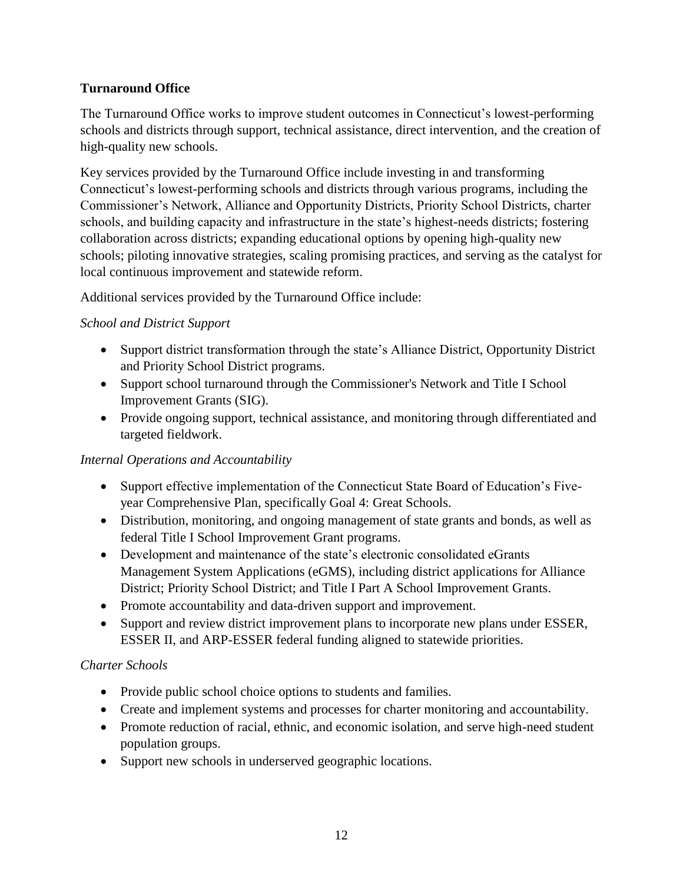# **Turnaround Office**

The Turnaround Office works to improve student outcomes in Connecticut's lowest-performing schools and districts through support, technical assistance, direct intervention, and the creation of high-quality new schools.

Key services provided by the Turnaround Office include investing in and transforming Connecticut's lowest-performing schools and districts through various programs, including the Commissioner's Network, Alliance and Opportunity Districts, Priority School Districts, charter schools, and building capacity and infrastructure in the state's highest-needs districts; fostering collaboration across districts; expanding educational options by opening high-quality new schools; piloting innovative strategies, scaling promising practices, and serving as the catalyst for local continuous improvement and statewide reform.

Additional services provided by the Turnaround Office include:

### *School and District Support*

- Support district transformation through the state's Alliance District, Opportunity District and Priority School District programs.
- Support school turnaround through the Commissioner's Network and Title I School Improvement Grants (SIG).
- Provide ongoing support, technical assistance, and monitoring through differentiated and targeted fieldwork.

#### *Internal Operations and Accountability*

- Support effective implementation of the Connecticut State Board of Education's Fiveyear Comprehensive Plan, specifically Goal 4: Great Schools.
- Distribution, monitoring, and ongoing management of state grants and bonds, as well as federal Title I School Improvement Grant programs.
- Development and maintenance of the state's electronic consolidated eGrants Management System Applications (eGMS), including district applications for Alliance District; Priority School District; and Title I Part A School Improvement Grants.
- Promote accountability and data-driven support and improvement.
- Support and review district improvement plans to incorporate new plans under ESSER, ESSER II, and ARP-ESSER federal funding aligned to statewide priorities.

# *Charter Schools*

- Provide public school choice options to students and families.
- Create and implement systems and processes for charter monitoring and accountability.
- Promote reduction of racial, ethnic, and economic isolation, and serve high-need student population groups.
- Support new schools in underserved geographic locations.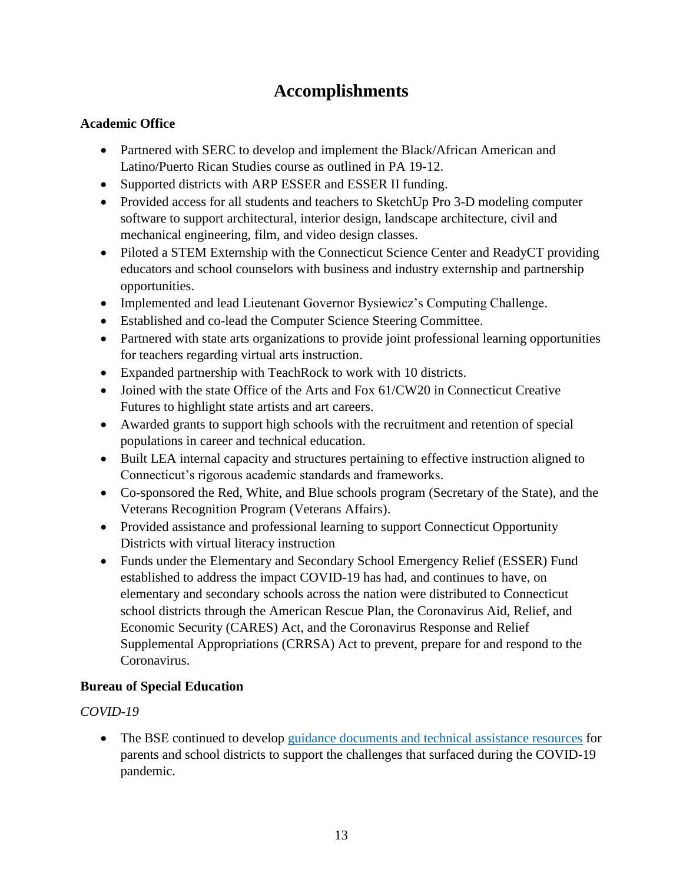# **Accomplishments**

### **Academic Office**

- Partnered with SERC to develop and implement the Black/African American and Latino/Puerto Rican Studies course as outlined in PA 19-12.
- Supported districts with ARP ESSER and ESSER II funding.
- Provided access for all students and teachers to SketchUp Pro 3-D modeling computer software to support architectural, interior design, landscape architecture, civil and mechanical engineering, film, and video design classes.
- Piloted a STEM Externship with the Connecticut Science Center and ReadyCT providing educators and school counselors with business and industry externship and partnership opportunities.
- Implemented and lead Lieutenant Governor Bysiewicz's Computing Challenge.
- Established and co-lead the Computer Science Steering Committee.
- Partnered with state arts organizations to provide joint professional learning opportunities for teachers regarding virtual arts instruction.
- Expanded partnership with TeachRock to work with 10 districts.
- Joined with the state Office of the Arts and Fox 61/CW20 in Connecticut Creative Futures to highlight state artists and art careers.
- Awarded grants to support high schools with the recruitment and retention of special populations in career and technical education.
- Built LEA internal capacity and structures pertaining to effective instruction aligned to Connecticut's rigorous academic standards and frameworks.
- Co-sponsored the Red, White, and Blue schools program (Secretary of the State), and the Veterans Recognition Program (Veterans Affairs).
- Provided assistance and professional learning to support Connecticut Opportunity Districts with virtual literacy instruction
- Funds under the Elementary and Secondary School Emergency Relief (ESSER) Fund established to address the impact COVID-19 has had, and continues to have, on elementary and secondary schools across the nation were distributed to Connecticut school districts through the American Rescue Plan, the Coronavirus Aid, Relief, and Economic Security (CARES) Act, and the Coronavirus Response and Relief Supplemental Appropriations (CRRSA) Act to prevent, prepare for and respond to the Coronavirus.

# **Bureau of Special Education**

# *COVID-19*

 The BSE continued to develop [guidance documents and technical assistance resources](https://portal.ct.gov/SDE/Special-Education/Bureau-of-Special-Education/Coronavirus) for parents and school districts to support the challenges that surfaced during the COVID-19 pandemic*.*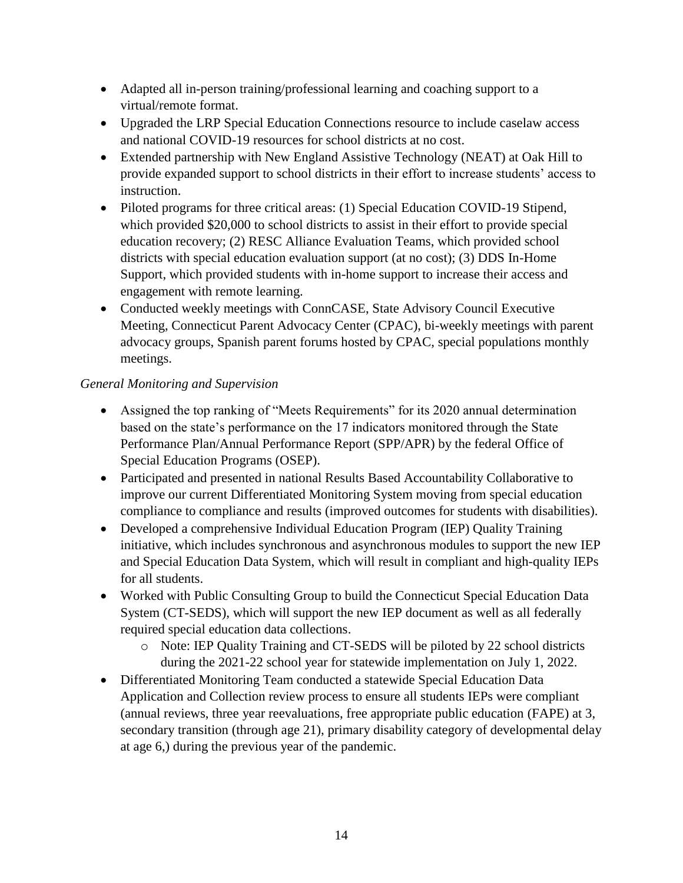- Adapted all in-person training/professional learning and coaching support to a virtual/remote format.
- Upgraded the LRP Special Education Connections resource to include caselaw access and national COVID-19 resources for school districts at no cost.
- Extended partnership with New England Assistive Technology (NEAT) at Oak Hill to provide expanded support to school districts in their effort to increase students' access to instruction.
- Piloted programs for three critical areas: (1) Special Education COVID-19 Stipend, which provided \$20,000 to school districts to assist in their effort to provide special education recovery; (2) RESC Alliance Evaluation Teams, which provided school districts with special education evaluation support (at no cost); (3) DDS In-Home Support, which provided students with in-home support to increase their access and engagement with remote learning.
- Conducted weekly meetings with ConnCASE, State Advisory Council Executive Meeting, Connecticut Parent Advocacy Center (CPAC), bi-weekly meetings with parent advocacy groups, Spanish parent forums hosted by CPAC, special populations monthly meetings.

# *General Monitoring and Supervision*

- Assigned the top ranking of "Meets Requirements" for its 2020 annual determination based on the state's performance on the 17 indicators monitored through the State Performance Plan/Annual Performance Report (SPP/APR) by the federal Office of Special Education Programs (OSEP).
- Participated and presented in national Results Based Accountability Collaborative to improve our current Differentiated Monitoring System moving from special education compliance to compliance and results (improved outcomes for students with disabilities).
- Developed a comprehensive Individual Education Program (IEP) Quality Training initiative, which includes synchronous and asynchronous modules to support the new IEP and Special Education Data System, which will result in compliant and high-quality IEPs for all students.
- Worked with Public Consulting Group to build the Connecticut Special Education Data System (CT-SEDS), which will support the new IEP document as well as all federally required special education data collections.
	- o Note: IEP Quality Training and CT-SEDS will be piloted by 22 school districts during the 2021-22 school year for statewide implementation on July 1, 2022.
- Differentiated Monitoring Team conducted a statewide Special Education Data Application and Collection review process to ensure all students IEPs were compliant (annual reviews, three year reevaluations, free appropriate public education (FAPE) at 3, secondary transition (through age 21), primary disability category of developmental delay at age 6,) during the previous year of the pandemic.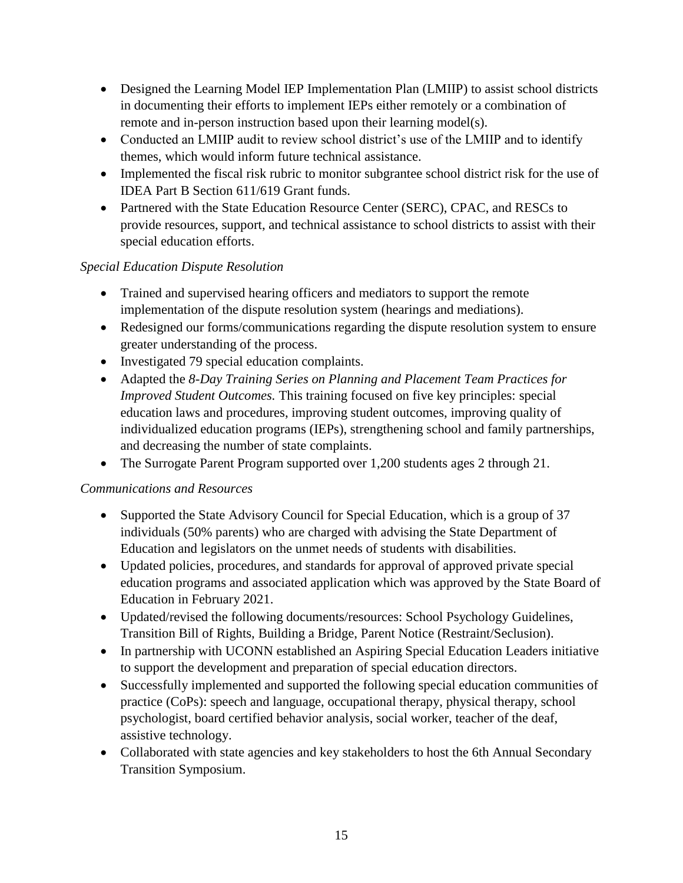- Designed the Learning Model IEP Implementation Plan (LMIIP) to assist school districts in documenting their efforts to implement IEPs either remotely or a combination of remote and in-person instruction based upon their learning model(s).
- Conducted an LMIIP audit to review school district's use of the LMIIP and to identify themes, which would inform future technical assistance.
- Implemented the fiscal risk rubric to monitor subgrantee school district risk for the use of IDEA Part B Section 611/619 Grant funds.
- Partnered with the State Education Resource Center (SERC), CPAC, and RESCs to provide resources, support, and technical assistance to school districts to assist with their special education efforts.

# *Special Education Dispute Resolution*

- Trained and supervised hearing officers and mediators to support the remote implementation of the dispute resolution system (hearings and mediations).
- Redesigned our forms/communications regarding the dispute resolution system to ensure greater understanding of the process.
- Investigated 79 special education complaints.
- Adapted the *8-Day Training Series on Planning and Placement Team Practices for Improved Student Outcomes.* This training focused on five key principles: special education laws and procedures, improving student outcomes, improving quality of individualized education programs (IEPs), strengthening school and family partnerships, and decreasing the number of state complaints.
- The Surrogate Parent Program supported over 1,200 students ages 2 through 21.

# *Communications and Resources*

- Supported the State Advisory Council for Special Education, which is a group of 37 individuals (50% parents) who are charged with advising the State Department of Education and legislators on the unmet needs of students with disabilities.
- Updated policies, procedures, and standards for approval of approved private special education programs and associated application which was approved by the State Board of Education in February 2021.
- Updated/revised the following documents/resources: School Psychology Guidelines, Transition Bill of Rights, Building a Bridge, Parent Notice (Restraint/Seclusion).
- In partnership with UCONN established an Aspiring Special Education Leaders initiative to support the development and preparation of special education directors.
- Successfully implemented and supported the following special education communities of practice (CoPs): speech and language, occupational therapy, physical therapy, school psychologist, board certified behavior analysis, social worker, teacher of the deaf, assistive technology.
- Collaborated with state agencies and key stakeholders to host the 6th Annual Secondary Transition Symposium.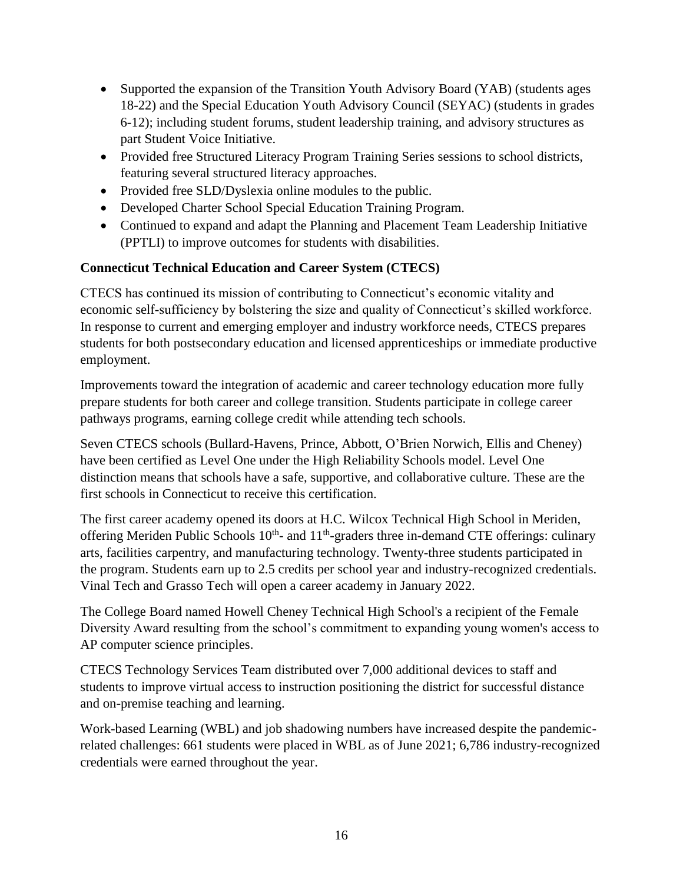- Supported the expansion of the Transition Youth Advisory Board (YAB) (students ages 18-22) and the Special Education Youth Advisory Council (SEYAC) (students in grades 6-12); including student forums, student leadership training, and advisory structures as part Student Voice Initiative.
- Provided free Structured Literacy Program Training Series sessions to school districts, featuring several structured literacy approaches.
- Provided free SLD/Dyslexia online modules to the public.
- Developed Charter School Special Education Training Program.
- Continued to expand and adapt the Planning and Placement Team Leadership Initiative (PPTLI) to improve outcomes for students with disabilities.

### **Connecticut Technical Education and Career System (CTECS)**

CTECS has continued its mission of contributing to Connecticut's economic vitality and economic self-sufficiency by bolstering the size and quality of Connecticut's skilled workforce. In response to current and emerging employer and industry workforce needs, CTECS prepares students for both postsecondary education and licensed apprenticeships or immediate productive employment.

Improvements toward the integration of academic and career technology education more fully prepare students for both career and college transition. Students participate in college career pathways programs, earning college credit while attending tech schools.

Seven CTECS schools (Bullard-Havens, Prince, Abbott, O'Brien Norwich, Ellis and Cheney) have been certified as Level One under the High Reliability Schools model. Level One distinction means that schools have a safe, supportive, and collaborative culture. These are the first schools in Connecticut to receive this certification.

The first career academy opened its doors at H.C. Wilcox Technical High School in Meriden, offering Meriden Public Schools  $10<sup>th</sup>$ - and  $11<sup>th</sup>$ -graders three in-demand CTE offerings: culinary arts, facilities carpentry, and manufacturing technology. Twenty-three students participated in the program. Students earn up to 2.5 credits per school year and industry-recognized credentials. Vinal Tech and Grasso Tech will open a career academy in January 2022.

The College Board named Howell Cheney Technical High School's a recipient of the Female Diversity Award resulting from the school's commitment to expanding young women's access to AP computer science principles.

CTECS Technology Services Team distributed over 7,000 additional devices to staff and students to improve virtual access to instruction positioning the district for successful distance and on-premise teaching and learning.

Work-based Learning (WBL) and job shadowing numbers have increased despite the pandemicrelated challenges: 661 students were placed in WBL as of June 2021; 6,786 industry-recognized credentials were earned throughout the year.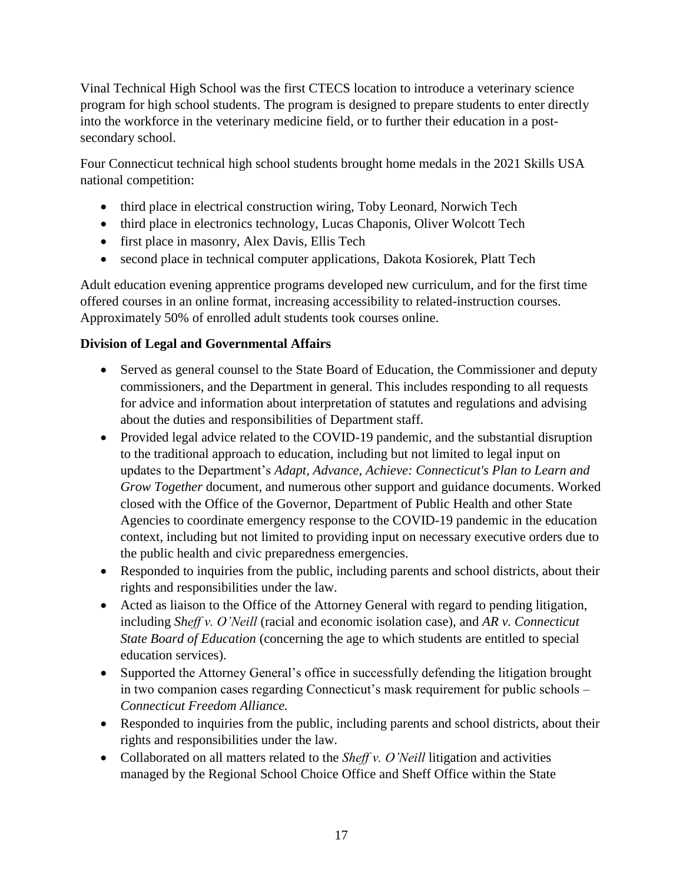Vinal Technical High School was the first CTECS location to introduce a veterinary science program for high school students. The program is designed to prepare students to enter directly into the workforce in the veterinary medicine field, or to further their education in a postsecondary school.

Four Connecticut technical high school students brought home medals in the 2021 Skills USA national competition:

- third place in electrical construction wiring, Toby Leonard, Norwich Tech
- third place in electronics technology, Lucas Chaponis, Oliver Wolcott Tech
- first place in masonry, Alex Davis, Ellis Tech
- second place in technical computer applications, Dakota Kosiorek, Platt Tech

Adult education evening apprentice programs developed new curriculum, and for the first time offered courses in an online format, increasing accessibility to related-instruction courses. Approximately 50% of enrolled adult students took courses online.

# **Division of Legal and Governmental Affairs**

- Served as general counsel to the State Board of Education, the Commissioner and deputy commissioners, and the Department in general. This includes responding to all requests for advice and information about interpretation of statutes and regulations and advising about the duties and responsibilities of Department staff.
- Provided legal advice related to the COVID-19 pandemic, and the substantial disruption to the traditional approach to education, including but not limited to legal input on updates to the Department's *Adapt, Advance, Achieve: Connecticut's Plan to Learn and Grow Together* document, and numerous other support and guidance documents. Worked closed with the Office of the Governor, Department of Public Health and other State Agencies to coordinate emergency response to the COVID-19 pandemic in the education context, including but not limited to providing input on necessary executive orders due to the public health and civic preparedness emergencies.
- Responded to inquiries from the public, including parents and school districts, about their rights and responsibilities under the law.
- Acted as liaison to the Office of the Attorney General with regard to pending litigation, including *Sheff v. O'Neill* (racial and economic isolation case), and *AR v. Connecticut State Board of Education* (concerning the age to which students are entitled to special education services).
- Supported the Attorney General's office in successfully defending the litigation brought in two companion cases regarding Connecticut's mask requirement for public schools – *Connecticut Freedom Alliance.*
- Responded to inquiries from the public, including parents and school districts, about their rights and responsibilities under the law.
- Collaborated on all matters related to the *Sheff v. O'Neill* litigation and activities managed by the Regional School Choice Office and Sheff Office within the State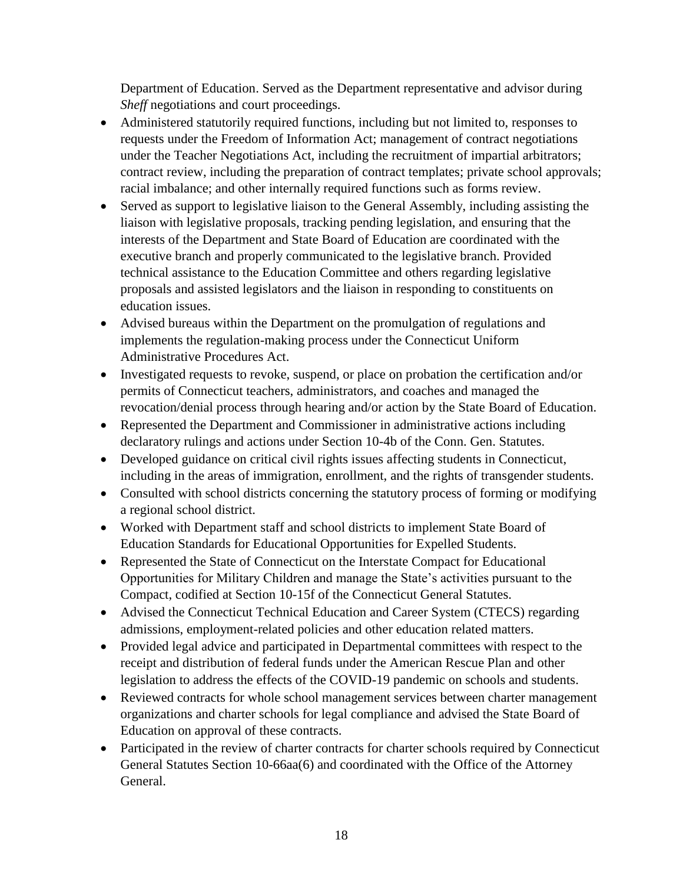Department of Education. Served as the Department representative and advisor during *Sheff* negotiations and court proceedings.

- Administered statutorily required functions, including but not limited to, responses to requests under the Freedom of Information Act; management of contract negotiations under the Teacher Negotiations Act, including the recruitment of impartial arbitrators; contract review, including the preparation of contract templates; private school approvals; racial imbalance; and other internally required functions such as forms review.
- Served as support to legislative liaison to the General Assembly, including assisting the liaison with legislative proposals, tracking pending legislation, and ensuring that the interests of the Department and State Board of Education are coordinated with the executive branch and properly communicated to the legislative branch. Provided technical assistance to the Education Committee and others regarding legislative proposals and assisted legislators and the liaison in responding to constituents on education issues.
- Advised bureaus within the Department on the promulgation of regulations and implements the regulation-making process under the Connecticut Uniform Administrative Procedures Act.
- Investigated requests to revoke, suspend, or place on probation the certification and/or permits of Connecticut teachers, administrators, and coaches and managed the revocation/denial process through hearing and/or action by the State Board of Education.
- Represented the Department and Commissioner in administrative actions including declaratory rulings and actions under Section 10-4b of the Conn. Gen. Statutes.
- Developed guidance on critical civil rights issues affecting students in Connecticut, including in the areas of immigration, enrollment, and the rights of transgender students.
- Consulted with school districts concerning the statutory process of forming or modifying a regional school district.
- Worked with Department staff and school districts to implement State Board of Education Standards for Educational Opportunities for Expelled Students.
- Represented the State of Connecticut on the Interstate Compact for Educational Opportunities for Military Children and manage the State's activities pursuant to the Compact, codified at Section 10-15f of the Connecticut General Statutes.
- Advised the Connecticut Technical Education and Career System (CTECS) regarding admissions, employment-related policies and other education related matters.
- Provided legal advice and participated in Departmental committees with respect to the receipt and distribution of federal funds under the American Rescue Plan and other legislation to address the effects of the COVID-19 pandemic on schools and students.
- Reviewed contracts for whole school management services between charter management organizations and charter schools for legal compliance and advised the State Board of Education on approval of these contracts.
- Participated in the review of charter contracts for charter schools required by Connecticut General Statutes Section 10-66aa(6) and coordinated with the Office of the Attorney General.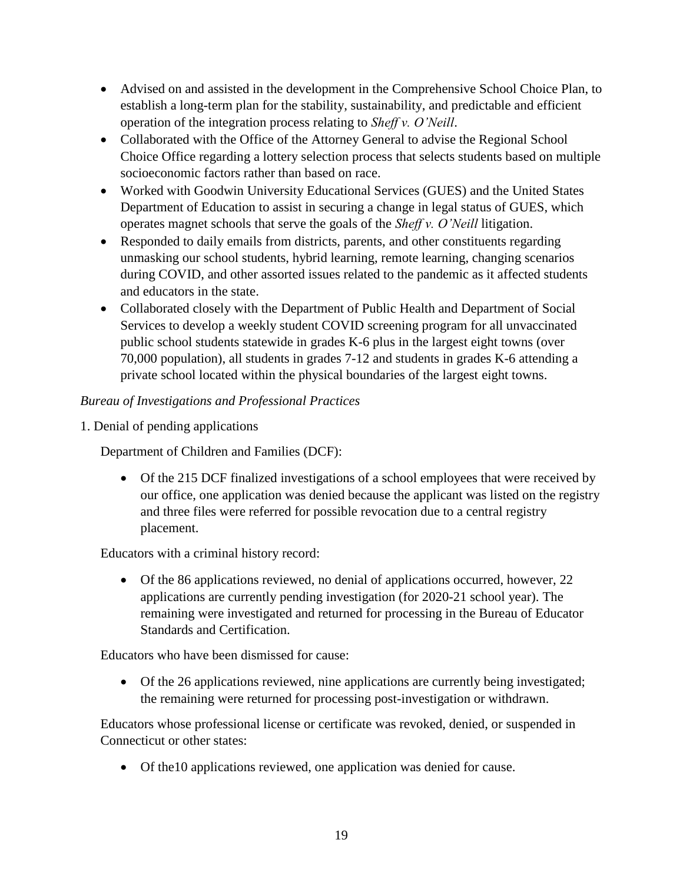- Advised on and assisted in the development in the Comprehensive School Choice Plan, to establish a long-term plan for the stability, sustainability, and predictable and efficient operation of the integration process relating to *Sheff v. O'Neill*.
- Collaborated with the Office of the Attorney General to advise the Regional School Choice Office regarding a lottery selection process that selects students based on multiple socioeconomic factors rather than based on race.
- Worked with Goodwin University Educational Services (GUES) and the United States Department of Education to assist in securing a change in legal status of GUES, which operates magnet schools that serve the goals of the *Sheff v. O'Neill* litigation.
- Responded to daily emails from districts, parents, and other constituents regarding unmasking our school students, hybrid learning, remote learning, changing scenarios during COVID, and other assorted issues related to the pandemic as it affected students and educators in the state.
- Collaborated closely with the Department of Public Health and Department of Social Services to develop a weekly student COVID screening program for all unvaccinated public school students statewide in grades K-6 plus in the largest eight towns (over 70,000 population), all students in grades 7-12 and students in grades K-6 attending a private school located within the physical boundaries of the largest eight towns.

# *Bureau of Investigations and Professional Practices*

1. Denial of pending applications

Department of Children and Families (DCF):

 Of the 215 DCF finalized investigations of a school employees that were received by our office, one application was denied because the applicant was listed on the registry and three files were referred for possible revocation due to a central registry placement.

Educators with a criminal history record:

 Of the 86 applications reviewed, no denial of applications occurred, however, 22 applications are currently pending investigation (for 2020-21 school year). The remaining were investigated and returned for processing in the Bureau of Educator Standards and Certification.

Educators who have been dismissed for cause:

 Of the 26 applications reviewed, nine applications are currently being investigated; the remaining were returned for processing post-investigation or withdrawn.

Educators whose professional license or certificate was revoked, denied, or suspended in Connecticut or other states:

Of the10 applications reviewed, one application was denied for cause.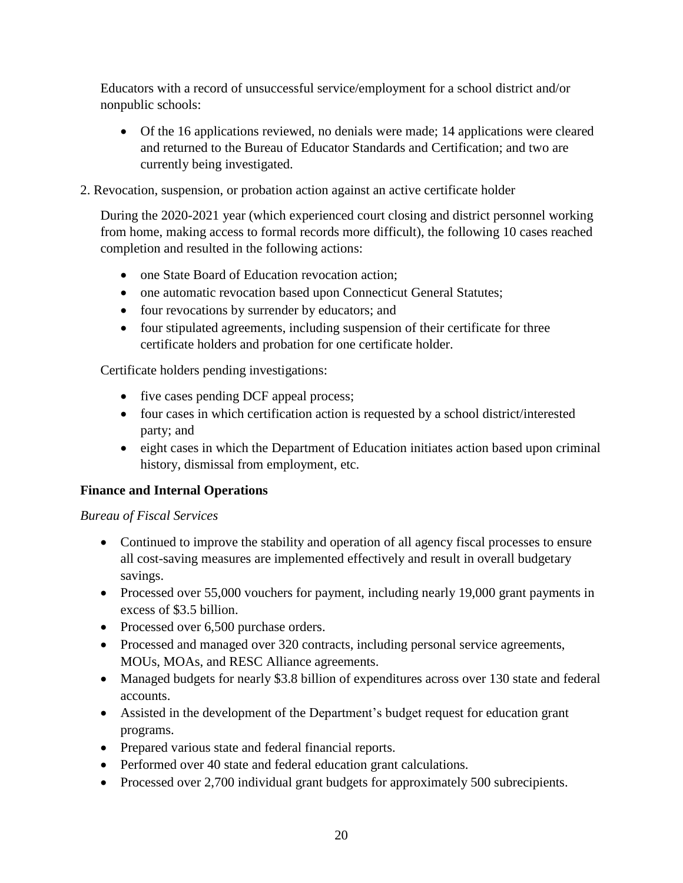Educators with a record of unsuccessful service/employment for a school district and/or nonpublic schools:

- Of the 16 applications reviewed, no denials were made; 14 applications were cleared and returned to the Bureau of Educator Standards and Certification; and two are currently being investigated.
- 2. Revocation, suspension, or probation action against an active certificate holder

During the 2020-2021 year (which experienced court closing and district personnel working from home, making access to formal records more difficult), the following 10 cases reached completion and resulted in the following actions:

- one State Board of Education revocation action;
- one automatic revocation based upon Connecticut General Statutes;
- four revocations by surrender by educators; and
- four stipulated agreements, including suspension of their certificate for three certificate holders and probation for one certificate holder.

Certificate holders pending investigations:

- five cases pending DCF appeal process;
- four cases in which certification action is requested by a school district/interested party; and
- eight cases in which the Department of Education initiates action based upon criminal history, dismissal from employment, etc.

# **Finance and Internal Operations**

#### *Bureau of Fiscal Services*

- Continued to improve the stability and operation of all agency fiscal processes to ensure all cost-saving measures are implemented effectively and result in overall budgetary savings.
- Processed over 55,000 vouchers for payment, including nearly 19,000 grant payments in excess of \$3.5 billion.
- Processed over 6,500 purchase orders.
- Processed and managed over 320 contracts, including personal service agreements, MOUs, MOAs, and RESC Alliance agreements.
- Managed budgets for nearly \$3.8 billion of expenditures across over 130 state and federal accounts.
- Assisted in the development of the Department's budget request for education grant programs.
- Prepared various state and federal financial reports.
- Performed over 40 state and federal education grant calculations.
- Processed over 2,700 individual grant budgets for approximately 500 subrecipients.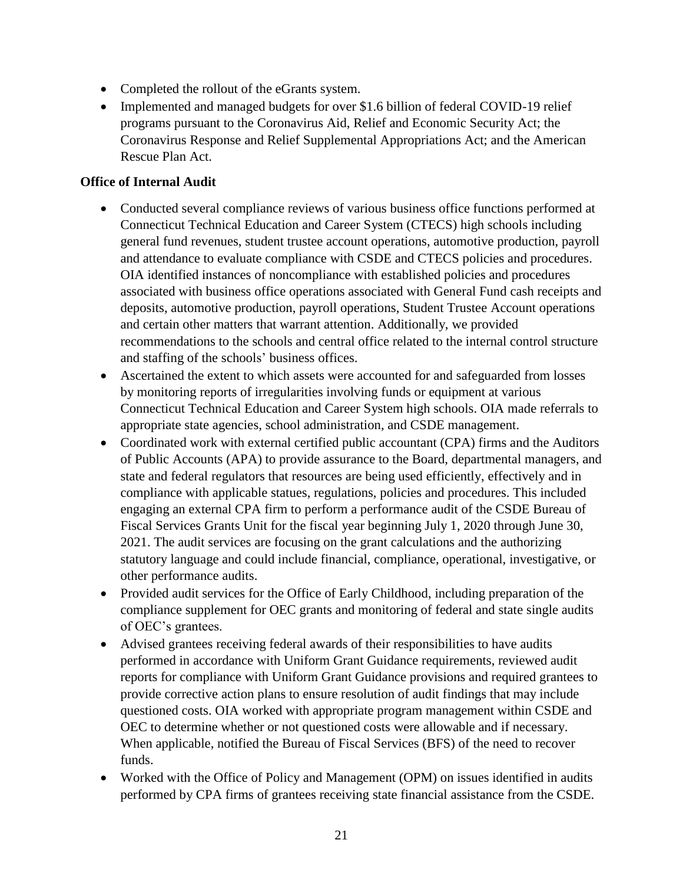- Completed the rollout of the eGrants system.
- Implemented and managed budgets for over \$1.6 billion of federal COVID-19 relief programs pursuant to the Coronavirus Aid, Relief and Economic Security Act; the Coronavirus Response and Relief Supplemental Appropriations Act; and the American Rescue Plan Act.

#### **Office of Internal Audit**

- Conducted several compliance reviews of various business office functions performed at Connecticut Technical Education and Career System (CTECS) high schools including general fund revenues, student trustee account operations, automotive production, payroll and attendance to evaluate compliance with CSDE and CTECS policies and procedures. OIA identified instances of noncompliance with established policies and procedures associated with business office operations associated with General Fund cash receipts and deposits, automotive production, payroll operations, Student Trustee Account operations and certain other matters that warrant attention. Additionally, we provided recommendations to the schools and central office related to the internal control structure and staffing of the schools' business offices.
- Ascertained the extent to which assets were accounted for and safeguarded from losses by monitoring reports of irregularities involving funds or equipment at various Connecticut Technical Education and Career System high schools. OIA made referrals to appropriate state agencies, school administration, and CSDE management.
- Coordinated work with external certified public accountant (CPA) firms and the Auditors of Public Accounts (APA) to provide assurance to the Board, departmental managers, and state and federal regulators that resources are being used efficiently, effectively and in compliance with applicable statues, regulations, policies and procedures. This included engaging an external CPA firm to perform a performance audit of the CSDE Bureau of Fiscal Services Grants Unit for the fiscal year beginning July 1, 2020 through June 30, 2021. The audit services are focusing on the grant calculations and the authorizing statutory language and could include financial, compliance, operational, investigative, or other performance audits.
- Provided audit services for the Office of Early Childhood, including preparation of the compliance supplement for OEC grants and monitoring of federal and state single audits of OEC's grantees.
- Advised grantees receiving federal awards of their responsibilities to have audits performed in accordance with Uniform Grant Guidance requirements, reviewed audit reports for compliance with Uniform Grant Guidance provisions and required grantees to provide corrective action plans to ensure resolution of audit findings that may include questioned costs. OIA worked with appropriate program management within CSDE and OEC to determine whether or not questioned costs were allowable and if necessary. When applicable, notified the Bureau of Fiscal Services (BFS) of the need to recover funds.
- Worked with the Office of Policy and Management (OPM) on issues identified in audits performed by CPA firms of grantees receiving state financial assistance from the CSDE.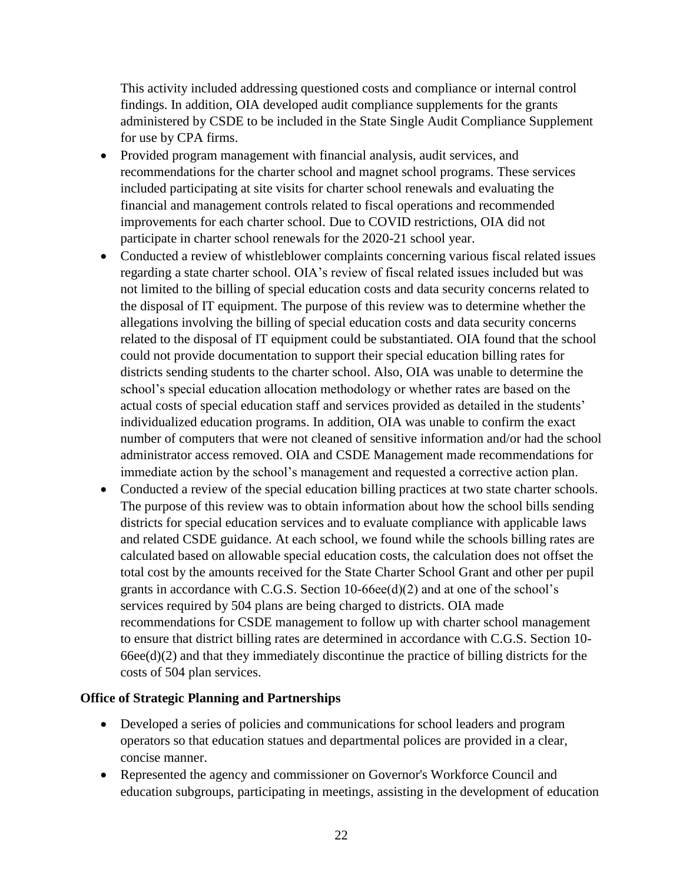This activity included addressing questioned costs and compliance or internal control findings. In addition, OIA developed audit compliance supplements for the grants administered by CSDE to be included in the State Single Audit Compliance Supplement for use by CPA firms.

- Provided program management with financial analysis, audit services, and recommendations for the charter school and magnet school programs. These services included participating at site visits for charter school renewals and evaluating the financial and management controls related to fiscal operations and recommended improvements for each charter school. Due to COVID restrictions, OIA did not participate in charter school renewals for the 2020-21 school year.
- Conducted a review of whistleblower complaints concerning various fiscal related issues regarding a state charter school. OIA's review of fiscal related issues included but was not limited to the billing of special education costs and data security concerns related to the disposal of IT equipment. The purpose of this review was to determine whether the allegations involving the billing of special education costs and data security concerns related to the disposal of IT equipment could be substantiated. OIA found that the school could not provide documentation to support their special education billing rates for districts sending students to the charter school. Also, OIA was unable to determine the school's special education allocation methodology or whether rates are based on the actual costs of special education staff and services provided as detailed in the students' individualized education programs. In addition, OIA was unable to confirm the exact number of computers that were not cleaned of sensitive information and/or had the school administrator access removed. OIA and CSDE Management made recommendations for immediate action by the school's management and requested a corrective action plan.
- Conducted a review of the special education billing practices at two state charter schools. The purpose of this review was to obtain information about how the school bills sending districts for special education services and to evaluate compliance with applicable laws and related CSDE guidance. At each school, we found while the schools billing rates are calculated based on allowable special education costs, the calculation does not offset the total cost by the amounts received for the State Charter School Grant and other per pupil grants in accordance with C.G.S. Section 10-66ee(d)(2) and at one of the school's services required by 504 plans are being charged to districts. OIA made recommendations for CSDE management to follow up with charter school management to ensure that district billing rates are determined in accordance with C.G.S. Section 10-  $66\text{ee}(d)(2)$  and that they immediately discontinue the practice of billing districts for the costs of 504 plan services.

#### **Office of Strategic Planning and Partnerships**

- Developed a series of policies and communications for school leaders and program operators so that education statues and departmental polices are provided in a clear, concise manner.
- Represented the agency and commissioner on Governor's Workforce Council and education subgroups, participating in meetings, assisting in the development of education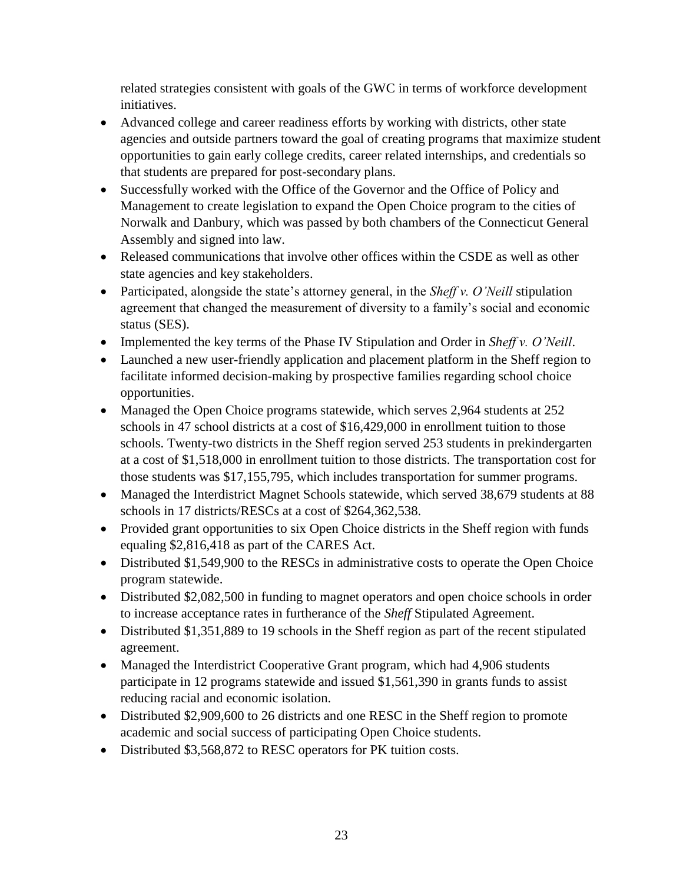related strategies consistent with goals of the GWC in terms of workforce development initiatives.

- Advanced college and career readiness efforts by working with districts, other state agencies and outside partners toward the goal of creating programs that maximize student opportunities to gain early college credits, career related internships, and credentials so that students are prepared for post-secondary plans.
- Successfully worked with the Office of the Governor and the Office of Policy and Management to create legislation to expand the Open Choice program to the cities of Norwalk and Danbury, which was passed by both chambers of the Connecticut General Assembly and signed into law.
- Released communications that involve other offices within the CSDE as well as other state agencies and key stakeholders.
- Participated, alongside the state's attorney general, in the *Sheff v. O'Neill* stipulation agreement that changed the measurement of diversity to a family's social and economic status (SES).
- Implemented the key terms of the Phase IV Stipulation and Order in *Sheff v. O'Neill*.
- Launched a new user-friendly application and placement platform in the Sheff region to facilitate informed decision-making by prospective families regarding school choice opportunities.
- Managed the Open Choice programs statewide, which serves 2,964 students at 252 schools in 47 school districts at a cost of \$16,429,000 in enrollment tuition to those schools. Twenty-two districts in the Sheff region served 253 students in prekindergarten at a cost of \$1,518,000 in enrollment tuition to those districts. The transportation cost for those students was \$17,155,795, which includes transportation for summer programs.
- Managed the Interdistrict Magnet Schools statewide, which served 38,679 students at 88 schools in 17 districts/RESCs at a cost of \$264,362,538.
- Provided grant opportunities to six Open Choice districts in the Sheff region with funds equaling \$2,816,418 as part of the CARES Act.
- Distributed \$1,549,900 to the RESCs in administrative costs to operate the Open Choice program statewide.
- Distributed \$2,082,500 in funding to magnet operators and open choice schools in order to increase acceptance rates in furtherance of the *Sheff* Stipulated Agreement.
- Distributed \$1,351,889 to 19 schools in the Sheff region as part of the recent stipulated agreement.
- Managed the Interdistrict Cooperative Grant program, which had 4,906 students participate in 12 programs statewide and issued \$1,561,390 in grants funds to assist reducing racial and economic isolation.
- Distributed \$2,909,600 to 26 districts and one RESC in the Sheff region to promote academic and social success of participating Open Choice students.
- Distributed \$3,568,872 to RESC operators for PK tuition costs.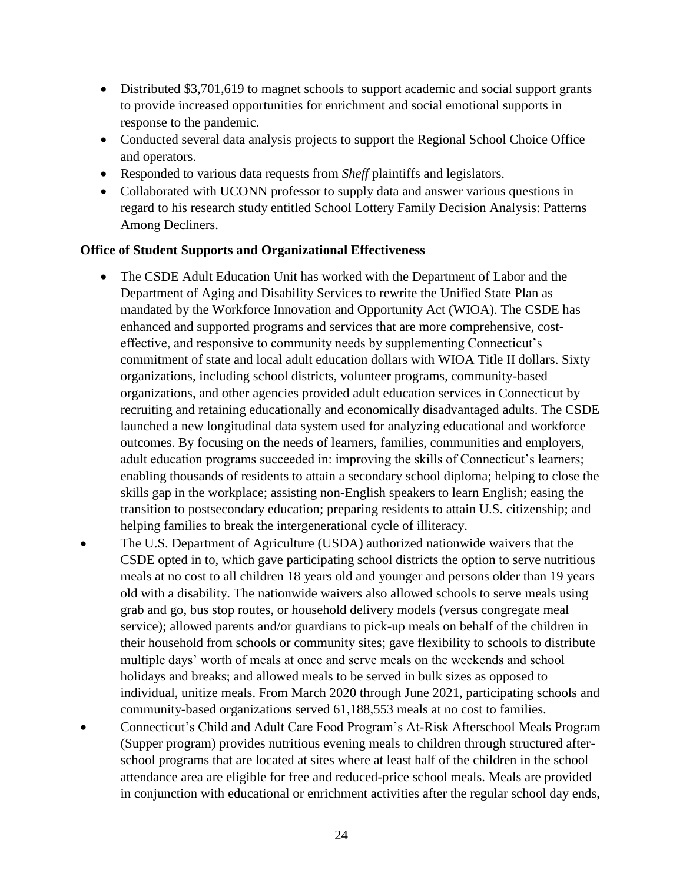- Distributed \$3,701,619 to magnet schools to support academic and social support grants to provide increased opportunities for enrichment and social emotional supports in response to the pandemic.
- Conducted several data analysis projects to support the Regional School Choice Office and operators.
- Responded to various data requests from *Sheff* plaintiffs and legislators.
- Collaborated with UCONN professor to supply data and answer various questions in regard to his research study entitled School Lottery Family Decision Analysis: Patterns Among Decliners.

#### **Office of Student Supports and Organizational Effectiveness**

- The CSDE Adult Education Unit has worked with the Department of Labor and the Department of Aging and Disability Services to rewrite the Unified State Plan as mandated by the Workforce Innovation and Opportunity Act (WIOA). The CSDE has enhanced and supported programs and services that are more comprehensive, costeffective, and responsive to community needs by supplementing Connecticut's commitment of state and local adult education dollars with WIOA Title II dollars. Sixty organizations, including school districts, volunteer programs, community-based organizations, and other agencies provided adult education services in Connecticut by recruiting and retaining educationally and economically disadvantaged adults. The CSDE launched a new longitudinal data system used for analyzing educational and workforce outcomes. By focusing on the needs of learners, families, communities and employers, adult education programs succeeded in: improving the skills of Connecticut's learners; enabling thousands of residents to attain a secondary school diploma; helping to close the skills gap in the workplace; assisting non-English speakers to learn English; easing the transition to postsecondary education; preparing residents to attain U.S. citizenship; and helping families to break the intergenerational cycle of illiteracy.
- The U.S. Department of Agriculture (USDA) authorized nationwide waivers that the CSDE opted in to, which gave participating school districts the option to serve nutritious meals at no cost to all children 18 years old and younger and persons older than 19 years old with a disability. The nationwide waivers also allowed schools to serve meals using grab and go, bus stop routes, or household delivery models (versus congregate meal service); allowed parents and/or guardians to pick-up meals on behalf of the children in their household from schools or community sites; gave flexibility to schools to distribute multiple days' worth of meals at once and serve meals on the weekends and school holidays and breaks; and allowed meals to be served in bulk sizes as opposed to individual, unitize meals. From March 2020 through June 2021, participating schools and community-based organizations served 61,188,553 meals at no cost to families.
- Connecticut's Child and Adult Care Food Program's At-Risk Afterschool Meals Program (Supper program) provides nutritious evening meals to children through structured afterschool programs that are located at sites where at least half of the children in the school attendance area are eligible for free and reduced-price school meals. Meals are provided in conjunction with educational or enrichment activities after the regular school day ends,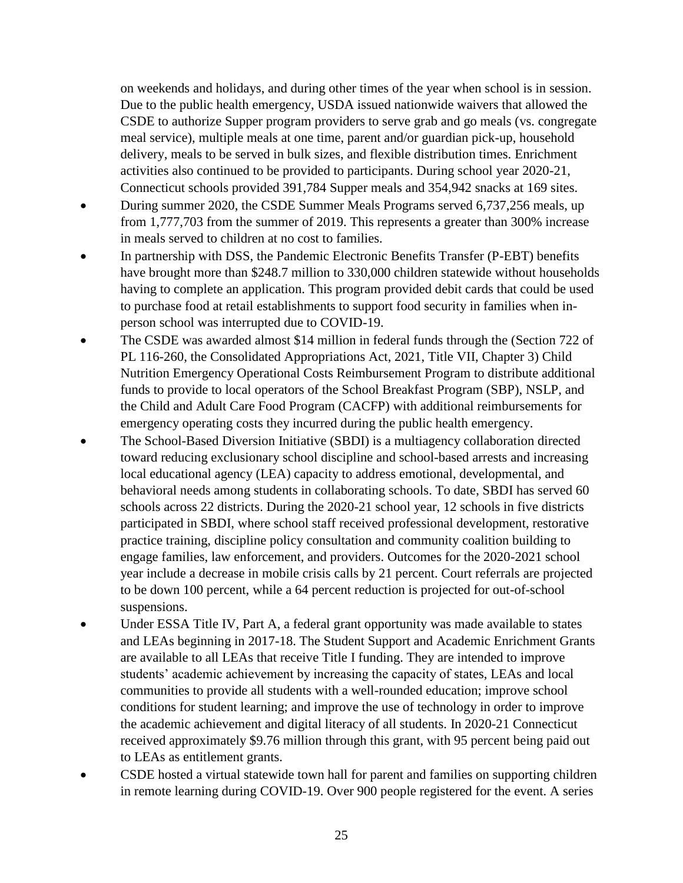on weekends and holidays, and during other times of the year when school is in session. Due to the public health emergency, USDA issued nationwide waivers that allowed the CSDE to authorize Supper program providers to serve grab and go meals (vs. congregate meal service), multiple meals at one time, parent and/or guardian pick-up, household delivery, meals to be served in bulk sizes, and flexible distribution times. Enrichment activities also continued to be provided to participants. During school year 2020-21, Connecticut schools provided 391,784 Supper meals and 354,942 snacks at 169 sites.

- During summer 2020, the CSDE Summer Meals Programs served 6,737,256 meals, up from 1,777,703 from the summer of 2019. This represents a greater than 300% increase in meals served to children at no cost to families.
- In partnership with DSS, the Pandemic Electronic Benefits Transfer (P-EBT) benefits have brought more than \$248.7 million to 330,000 children statewide without households having to complete an application. This program provided debit cards that could be used to purchase food at retail establishments to support food security in families when inperson school was interrupted due to COVID-19.
- The CSDE was awarded almost \$14 million in federal funds through the (Section 722 of PL 116-260, the Consolidated Appropriations Act, 2021, Title VII, Chapter 3) Child Nutrition Emergency Operational Costs Reimbursement Program to distribute additional funds to provide to local operators of the School Breakfast Program (SBP), NSLP, and the Child and Adult Care Food Program (CACFP) with additional reimbursements for emergency operating costs they incurred during the public health emergency.
- The School-Based Diversion Initiative (SBDI) is a multiagency collaboration directed toward reducing exclusionary school discipline and school-based arrests and increasing local educational agency (LEA) capacity to address emotional, developmental, and behavioral needs among students in collaborating schools. To date, SBDI has served 60 schools across 22 districts. During the 2020-21 school year, 12 schools in five districts participated in SBDI, where school staff received professional development, restorative practice training, discipline policy consultation and community coalition building to engage families, law enforcement, and providers. Outcomes for the 2020-2021 school year include a decrease in mobile crisis calls by 21 percent. Court referrals are projected to be down 100 percent, while a 64 percent reduction is projected for out-of-school suspensions.
- Under ESSA Title IV, Part A, a federal grant opportunity was made available to states and LEAs beginning in 2017-18. The Student Support and Academic Enrichment Grants are available to all LEAs that receive Title I funding. They are intended to improve students' academic achievement by increasing the capacity of states, LEAs and local communities to provide all students with a well-rounded education; improve school conditions for student learning; and improve the use of technology in order to improve the academic achievement and digital literacy of all students. In 2020-21 Connecticut received approximately \$9.76 million through this grant, with 95 percent being paid out to LEAs as entitlement grants.
- CSDE hosted a virtual statewide town hall for parent and families on supporting children in remote learning during COVID-19. Over 900 people registered for the event. A series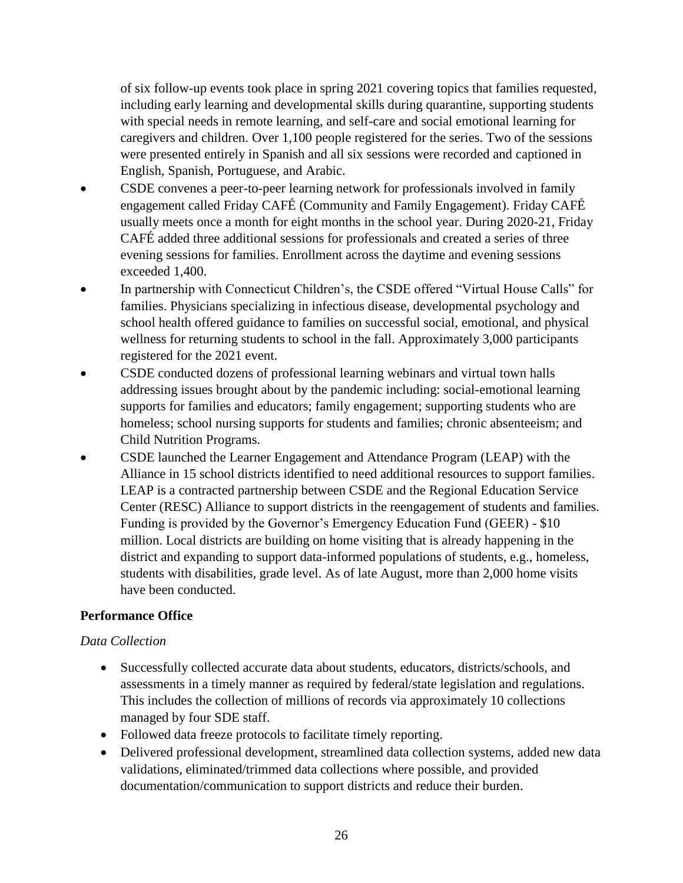of six follow-up events took place in spring 2021 covering topics that families requested, including early learning and developmental skills during quarantine, supporting students with special needs in remote learning, and self-care and social emotional learning for caregivers and children. Over 1,100 people registered for the series. Two of the sessions were presented entirely in Spanish and all six sessions were recorded and captioned in English, Spanish, Portuguese, and Arabic.

- CSDE convenes a peer-to-peer learning network for professionals involved in family engagement called Friday CAFÉ (Community and Family Engagement). Friday CAFÉ usually meets once a month for eight months in the school year. During 2020-21, Friday CAFÉ added three additional sessions for professionals and created a series of three evening sessions for families. Enrollment across the daytime and evening sessions exceeded 1,400.
- In partnership with Connecticut Children's, the CSDE offered "Virtual House Calls" for families. Physicians specializing in infectious disease, developmental psychology and school health offered guidance to families on successful social, emotional, and physical wellness for returning students to school in the fall. Approximately 3,000 participants registered for the 2021 event.
- CSDE conducted dozens of professional learning webinars and virtual town halls addressing issues brought about by the pandemic including: social-emotional learning supports for families and educators; family engagement; supporting students who are homeless; school nursing supports for students and families; chronic absenteeism; and Child Nutrition Programs.
- CSDE launched the Learner Engagement and Attendance Program (LEAP) with the Alliance in 15 school districts identified to need additional resources to support families. LEAP is a contracted partnership between CSDE and the Regional Education Service Center (RESC) Alliance to support districts in the reengagement of students and families. Funding is provided by the Governor's Emergency Education Fund (GEER) - \$10 million. Local districts are building on home visiting that is already happening in the district and expanding to support data-informed populations of students, e.g., homeless, students with disabilities, grade level. As of late August, more than 2,000 home visits have been conducted.

#### **Performance Office**

#### *Data Collection*

- Successfully collected accurate data about students, educators, districts/schools, and assessments in a timely manner as required by federal/state legislation and regulations. This includes the collection of millions of records via approximately 10 collections managed by four SDE staff.
- Followed data freeze protocols to facilitate timely reporting.
- Delivered professional development, streamlined data collection systems, added new data validations, eliminated/trimmed data collections where possible, and provided documentation/communication to support districts and reduce their burden.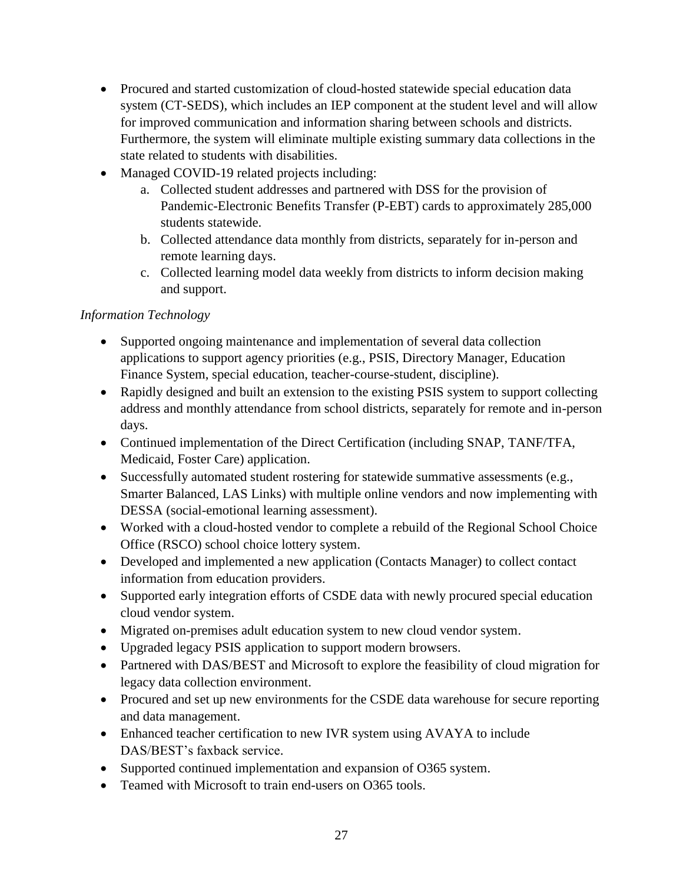- Procured and started customization of cloud-hosted statewide special education data system (CT-SEDS), which includes an IEP component at the student level and will allow for improved communication and information sharing between schools and districts. Furthermore, the system will eliminate multiple existing summary data collections in the state related to students with disabilities.
- Managed COVID-19 related projects including:
	- a. Collected student addresses and partnered with DSS for the provision of Pandemic-Electronic Benefits Transfer (P-EBT) cards to approximately 285,000 students statewide.
	- b. Collected attendance data monthly from districts, separately for in-person and remote learning days.
	- c. Collected learning model data weekly from districts to inform decision making and support.

### *Information Technology*

- Supported ongoing maintenance and implementation of several data collection applications to support agency priorities (e.g., PSIS, Directory Manager, Education Finance System, special education, teacher-course-student, discipline).
- Rapidly designed and built an extension to the existing PSIS system to support collecting address and monthly attendance from school districts, separately for remote and in-person days.
- Continued implementation of the Direct Certification (including SNAP, TANF/TFA, Medicaid, Foster Care) application.
- Successfully automated student rostering for statewide summative assessments (e.g., Smarter Balanced, LAS Links) with multiple online vendors and now implementing with DESSA (social-emotional learning assessment).
- Worked with a cloud-hosted vendor to complete a rebuild of the Regional School Choice Office (RSCO) school choice lottery system.
- Developed and implemented a new application (Contacts Manager) to collect contact information from education providers.
- Supported early integration efforts of CSDE data with newly procured special education cloud vendor system.
- Migrated on-premises adult education system to new cloud vendor system.
- Upgraded legacy PSIS application to support modern browsers.
- Partnered with DAS/BEST and Microsoft to explore the feasibility of cloud migration for legacy data collection environment.
- Procured and set up new environments for the CSDE data warehouse for secure reporting and data management.
- Enhanced teacher certification to new IVR system using AVAYA to include DAS/BEST's faxback service.
- Supported continued implementation and expansion of O365 system.
- Teamed with Microsoft to train end-users on O365 tools.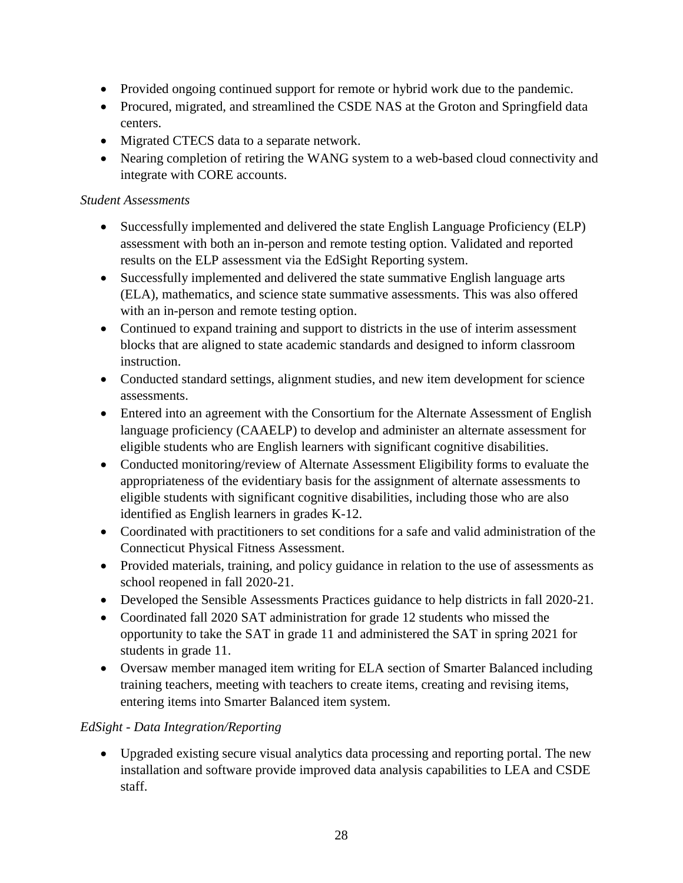- Provided ongoing continued support for remote or hybrid work due to the pandemic.
- Procured, migrated, and streamlined the CSDE NAS at the Groton and Springfield data centers.
- Migrated CTECS data to a separate network.
- Nearing completion of retiring the WANG system to a web-based cloud connectivity and integrate with CORE accounts.

### *Student Assessments*

- Successfully implemented and delivered the state English Language Proficiency (ELP) assessment with both an in-person and remote testing option. Validated and reported results on the ELP assessment via the EdSight Reporting system.
- Successfully implemented and delivered the state summative English language arts (ELA), mathematics, and science state summative assessments. This was also offered with an in-person and remote testing option.
- Continued to expand training and support to districts in the use of interim assessment blocks that are aligned to state academic standards and designed to inform classroom instruction.
- Conducted standard settings, alignment studies, and new item development for science assessments.
- Entered into an agreement with the Consortium for the Alternate Assessment of English language proficiency (CAAELP) to develop and administer an alternate assessment for eligible students who are English learners with significant cognitive disabilities.
- Conducted monitoring/review of Alternate Assessment Eligibility forms to evaluate the appropriateness of the evidentiary basis for the assignment of alternate assessments to eligible students with significant cognitive disabilities, including those who are also identified as English learners in grades K-12.
- Coordinated with practitioners to set conditions for a safe and valid administration of the Connecticut Physical Fitness Assessment.
- Provided materials, training, and policy guidance in relation to the use of assessments as school reopened in fall 2020-21.
- Developed the Sensible Assessments Practices guidance to help districts in fall 2020-21.
- Coordinated fall 2020 SAT administration for grade 12 students who missed the opportunity to take the SAT in grade 11 and administered the SAT in spring 2021 for students in grade 11.
- Oversaw member managed item writing for ELA section of Smarter Balanced including training teachers, meeting with teachers to create items, creating and revising items, entering items into Smarter Balanced item system.

# *EdSight - Data Integration/Reporting*

 Upgraded existing secure visual analytics data processing and reporting portal. The new installation and software provide improved data analysis capabilities to LEA and CSDE staff.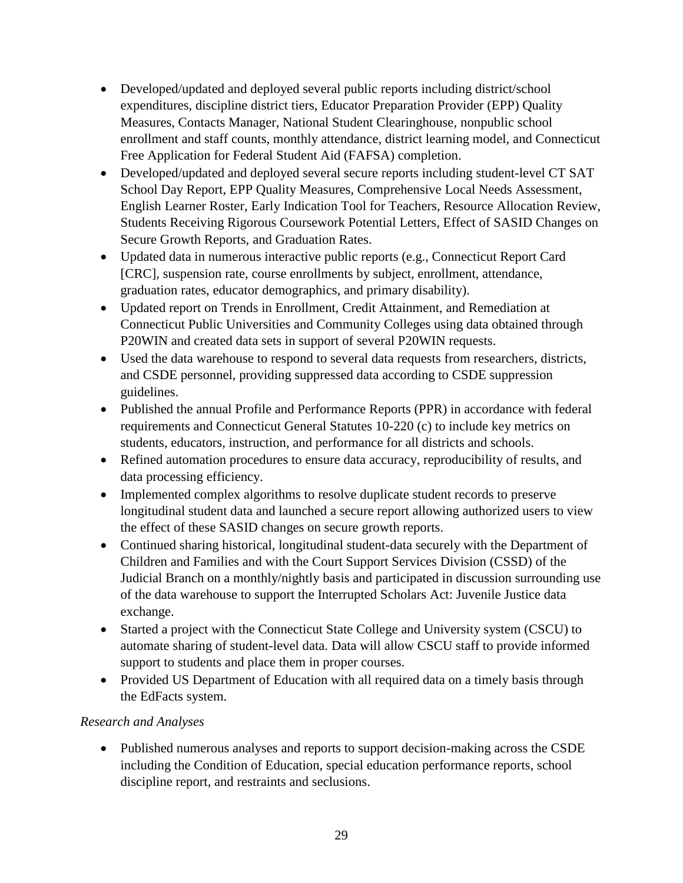- Developed/updated and deployed several public reports including district/school expenditures, discipline district tiers, Educator Preparation Provider (EPP) Quality Measures, Contacts Manager, National Student Clearinghouse, nonpublic school enrollment and staff counts, monthly attendance, district learning model, and Connecticut Free Application for Federal Student Aid (FAFSA) completion.
- Developed/updated and deployed several secure reports including student-level CT SAT School Day Report, EPP Quality Measures, Comprehensive Local Needs Assessment, English Learner Roster, Early Indication Tool for Teachers, Resource Allocation Review, Students Receiving Rigorous Coursework Potential Letters, Effect of SASID Changes on Secure Growth Reports, and Graduation Rates.
- Updated data in numerous interactive public reports (e.g., Connecticut Report Card [CRC], suspension rate, course enrollments by subject, enrollment, attendance, graduation rates, educator demographics, and primary disability).
- Updated report on Trends in Enrollment, Credit Attainment, and Remediation at Connecticut Public Universities and Community Colleges using data obtained through P20WIN and created data sets in support of several P20WIN requests.
- Used the data warehouse to respond to several data requests from researchers, districts, and CSDE personnel, providing suppressed data according to CSDE suppression guidelines.
- Published the annual Profile and Performance Reports (PPR) in accordance with federal requirements and Connecticut General Statutes 10-220 (c) to include key metrics on students, educators, instruction, and performance for all districts and schools.
- Refined automation procedures to ensure data accuracy, reproducibility of results, and data processing efficiency.
- Implemented complex algorithms to resolve duplicate student records to preserve longitudinal student data and launched a secure report allowing authorized users to view the effect of these SASID changes on secure growth reports.
- Continued sharing historical, longitudinal student-data securely with the Department of Children and Families and with the Court Support Services Division (CSSD) of the Judicial Branch on a monthly/nightly basis and participated in discussion surrounding use of the data warehouse to support the Interrupted Scholars Act: Juvenile Justice data exchange.
- Started a project with the Connecticut State College and University system (CSCU) to automate sharing of student-level data. Data will allow CSCU staff to provide informed support to students and place them in proper courses.
- Provided US Department of Education with all required data on a timely basis through the EdFacts system.

# *Research and Analyses*

• Published numerous analyses and reports to support decision-making across the CSDE including the Condition of Education, special education performance reports, school discipline report, and restraints and seclusions.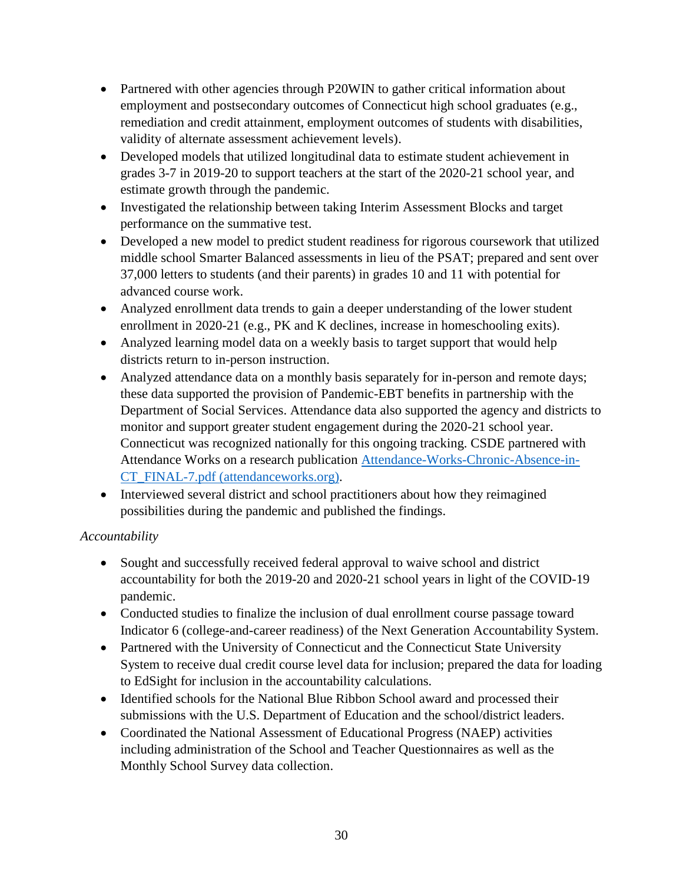- Partnered with other agencies through P20WIN to gather critical information about employment and postsecondary outcomes of Connecticut high school graduates (e.g., remediation and credit attainment, employment outcomes of students with disabilities, validity of alternate assessment achievement levels).
- Developed models that utilized longitudinal data to estimate student achievement in grades 3-7 in 2019-20 to support teachers at the start of the 2020-21 school year, and estimate growth through the pandemic.
- Investigated the relationship between taking Interim Assessment Blocks and target performance on the summative test.
- Developed a new model to predict student readiness for rigorous coursework that utilized middle school Smarter Balanced assessments in lieu of the PSAT; prepared and sent over 37,000 letters to students (and their parents) in grades 10 and 11 with potential for advanced course work.
- Analyzed enrollment data trends to gain a deeper understanding of the lower student enrollment in 2020-21 (e.g., PK and K declines, increase in homeschooling exits).
- Analyzed learning model data on a weekly basis to target support that would help districts return to in-person instruction.
- Analyzed attendance data on a monthly basis separately for in-person and remote days; these data supported the provision of Pandemic-EBT benefits in partnership with the Department of Social Services. Attendance data also supported the agency and districts to monitor and support greater student engagement during the 2020-21 school year. Connecticut was recognized nationally for this ongoing tracking. CSDE partnered with Attendance Works on a research publication [Attendance-Works-Chronic-Absence-in-](https://www.attendanceworks.org/wp-content/uploads/2019/06/Attendance-Works-Chronic-Absence-in-CT_FINAL-7.pdf)[CT\\_FINAL-7.pdf \(attendanceworks.org\).](https://www.attendanceworks.org/wp-content/uploads/2019/06/Attendance-Works-Chronic-Absence-in-CT_FINAL-7.pdf)
- Interviewed several district and school practitioners about how they reimagined possibilities during the pandemic and published the findings.

# *Accountability*

- Sought and successfully received federal approval to waive school and district accountability for both the 2019-20 and 2020-21 school years in light of the COVID-19 pandemic.
- Conducted studies to finalize the inclusion of dual enrollment course passage toward Indicator 6 (college-and-career readiness) of the Next Generation Accountability System.
- Partnered with the University of Connecticut and the Connecticut State University System to receive dual credit course level data for inclusion; prepared the data for loading to EdSight for inclusion in the accountability calculations.
- Identified schools for the National Blue Ribbon School award and processed their submissions with the U.S. Department of Education and the school/district leaders.
- Coordinated the National Assessment of Educational Progress (NAEP) activities including administration of the School and Teacher Questionnaires as well as the Monthly School Survey data collection.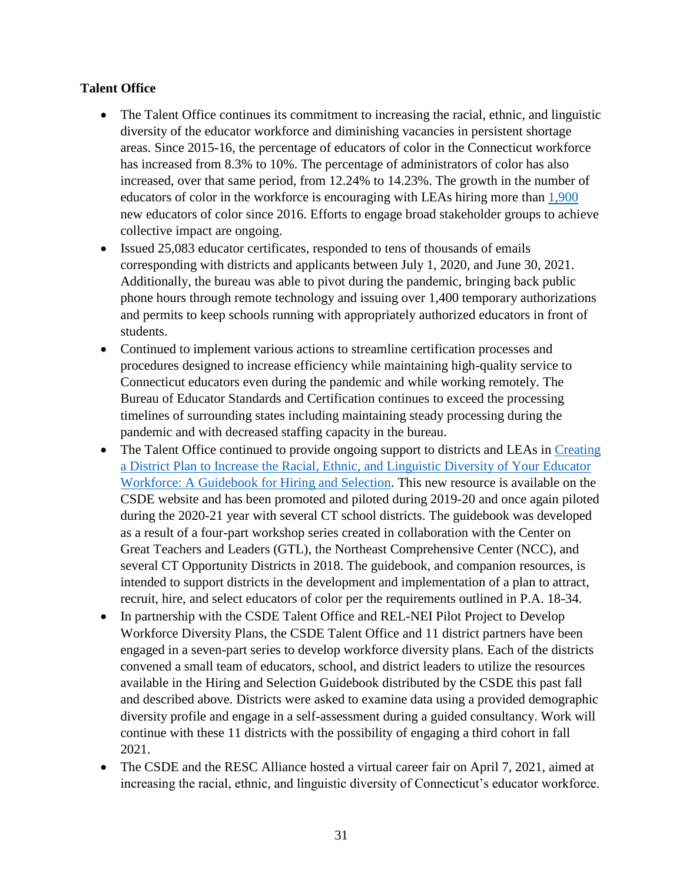#### **Talent Office**

- The Talent Office continues its commitment to increasing the racial, ethnic, and linguistic diversity of the educator workforce and diminishing vacancies in persistent shortage areas. Since 2015-16, the percentage of educators of color in the Connecticut workforce has increased from 8.3% to 10%. The percentage of administrators of color has also increased, over that same period, from 12.24% to 14.23%. The growth in the number of educators of color in the workforce is encouraging with LEAs hiring more than  $1,900$ new educators of color since 2016. Efforts to engage broad stakeholder groups to achieve collective impact are ongoing.
- Issued 25,083 educator certificates, responded to tens of thousands of emails corresponding with districts and applicants between July 1, 2020, and June 30, 2021. Additionally, the bureau was able to pivot during the pandemic, bringing back public phone hours through remote technology and issuing over 1,400 temporary authorizations and permits to keep schools running with appropriately authorized educators in front of students.
- Continued to implement various actions to streamline certification processes and procedures designed to increase efficiency while maintaining high-quality service to Connecticut educators even during the pandemic and while working remotely. The Bureau of Educator Standards and Certification continues to exceed the processing timelines of surrounding states including maintaining steady processing during the pandemic and with decreased staffing capacity in the bureau.
- The Talent Office continued to provide ongoing support to districts and LEAs in Creating [a District Plan to Increase the Racial, Ethnic, and Linguistic Diversity of Your Educator](https://portal.ct.gov/-/media/SDE/Talent_Office/HiringAndSelectionGuidebook.pdf)  [Workforce: A Guidebook for Hiring and Selection.](https://portal.ct.gov/-/media/SDE/Talent_Office/HiringAndSelectionGuidebook.pdf) This new resource is available on the CSDE website and has been promoted and piloted during 2019-20 and once again piloted during the 2020-21 year with several CT school districts. The guidebook was developed as a result of a four-part workshop series created in collaboration with the Center on Great Teachers and Leaders (GTL), the Northeast Comprehensive Center (NCC), and several CT Opportunity Districts in 2018. The guidebook, and companion resources, is intended to support districts in the development and implementation of a plan to attract, recruit, hire, and select educators of color per the requirements outlined in P.A. 18-34.
- In partnership with the CSDE Talent Office and REL-NEI Pilot Project to Develop Workforce Diversity Plans, the CSDE Talent Office and 11 district partners have been engaged in a seven-part series to develop workforce diversity plans. Each of the districts convened a small team of educators, school, and district leaders to utilize the resources available in the Hiring and Selection Guidebook distributed by the CSDE this past fall and described above. Districts were asked to examine data using a provided demographic diversity profile and engage in a self-assessment during a guided consultancy. Work will continue with these 11 districts with the possibility of engaging a third cohort in fall 2021.
- The CSDE and the RESC Alliance hosted a virtual career fair on April 7, 2021, aimed at increasing the racial, ethnic, and linguistic diversity of Connecticut's educator workforce.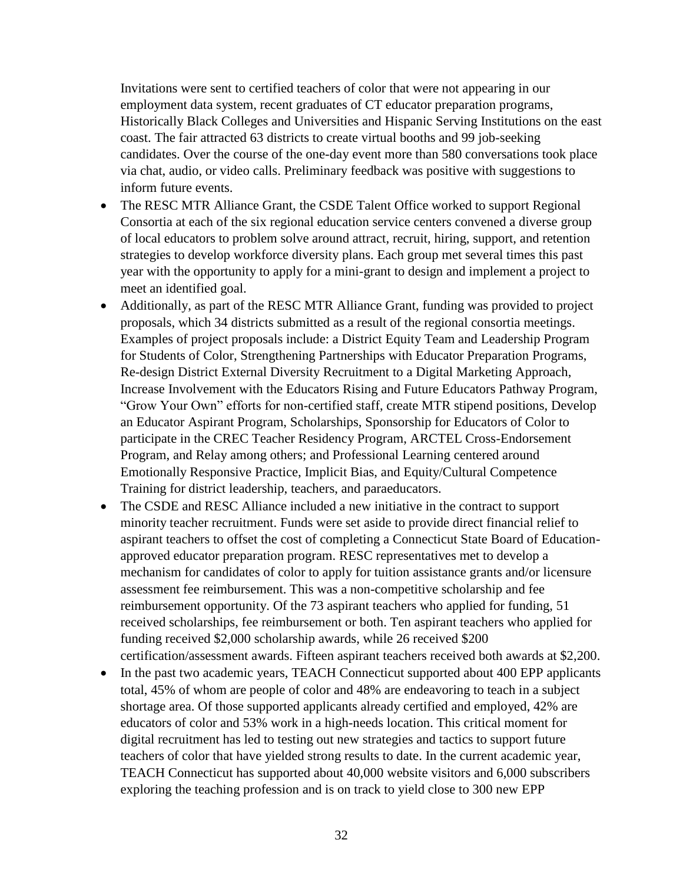Invitations were sent to certified teachers of color that were not appearing in our employment data system, recent graduates of CT educator preparation programs, Historically Black Colleges and Universities and Hispanic Serving Institutions on the east coast. The fair attracted 63 districts to create virtual booths and 99 job-seeking candidates. Over the course of the one-day event more than 580 conversations took place via chat, audio, or video calls. Preliminary feedback was positive with suggestions to inform future events.

- The RESC MTR Alliance Grant, the CSDE Talent Office worked to support Regional Consortia at each of the six regional education service centers convened a diverse group of local educators to problem solve around attract, recruit, hiring, support, and retention strategies to develop workforce diversity plans. Each group met several times this past year with the opportunity to apply for a mini-grant to design and implement a project to meet an identified goal.
- Additionally, as part of the RESC MTR Alliance Grant, funding was provided to project proposals, which 34 districts submitted as a result of the regional consortia meetings. Examples of project proposals include: a District Equity Team and Leadership Program for Students of Color, Strengthening Partnerships with Educator Preparation Programs, Re-design District External Diversity Recruitment to a Digital Marketing Approach, Increase Involvement with the Educators Rising and Future Educators Pathway Program, "Grow Your Own" efforts for non-certified staff, create MTR stipend positions, Develop an Educator Aspirant Program, Scholarships, Sponsorship for Educators of Color to participate in the CREC Teacher Residency Program, ARCTEL Cross-Endorsement Program, and Relay among others; and Professional Learning centered around Emotionally Responsive Practice, Implicit Bias, and Equity/Cultural Competence Training for district leadership, teachers, and paraeducators.
- The CSDE and RESC Alliance included a new initiative in the contract to support minority teacher recruitment. Funds were set aside to provide direct financial relief to aspirant teachers to offset the cost of completing a Connecticut State Board of Educationapproved educator preparation program. RESC representatives met to develop a mechanism for candidates of color to apply for tuition assistance grants and/or licensure assessment fee reimbursement. This was a non-competitive scholarship and fee reimbursement opportunity. Of the 73 aspirant teachers who applied for funding, 51 received scholarships, fee reimbursement or both. Ten aspirant teachers who applied for funding received \$2,000 scholarship awards, while 26 received \$200 certification/assessment awards. Fifteen aspirant teachers received both awards at \$2,200.
- In the past two academic years, TEACH Connecticut supported about 400 EPP applicants total, 45% of whom are people of color and 48% are endeavoring to teach in a subject shortage area. Of those supported applicants already certified and employed, 42% are educators of color and 53% work in a high-needs location. This critical moment for digital recruitment has led to testing out new strategies and tactics to support future teachers of color that have yielded strong results to date. In the current academic year, TEACH Connecticut has supported about 40,000 website visitors and 6,000 subscribers exploring the teaching profession and is on track to yield close to 300 new EPP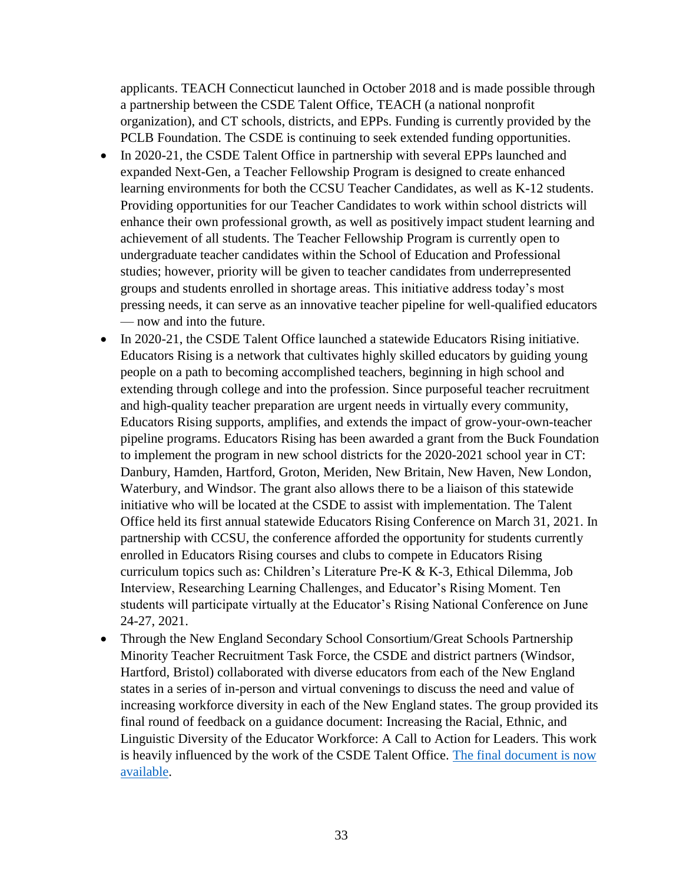applicants. TEACH Connecticut launched in October 2018 and is made possible through a partnership between the CSDE Talent Office, TEACH (a national nonprofit organization), and CT schools, districts, and EPPs. Funding is currently provided by the PCLB Foundation. The CSDE is continuing to seek extended funding opportunities.

- In 2020-21, the CSDE Talent Office in partnership with several EPPs launched and expanded Next-Gen, a Teacher Fellowship Program is designed to create enhanced learning environments for both the CCSU Teacher Candidates, as well as K-12 students. Providing opportunities for our Teacher Candidates to work within school districts will enhance their own professional growth, as well as positively impact student learning and achievement of all students. The Teacher Fellowship Program is currently open to undergraduate teacher candidates within the School of Education and Professional studies; however, priority will be given to teacher candidates from underrepresented groups and students enrolled in shortage areas. This initiative address today's most pressing needs, it can serve as an innovative teacher pipeline for well-qualified educators — now and into the future.
- In 2020-21, the CSDE Talent Office launched a statewide Educators Rising initiative. Educators Rising is a network that cultivates highly skilled educators by guiding young people on a path to becoming accomplished teachers, beginning in high school and extending through college and into the profession. Since purposeful teacher recruitment and high-quality teacher preparation are urgent needs in virtually every community, Educators Rising supports, amplifies, and extends the impact of grow-your-own-teacher pipeline programs. Educators Rising has been awarded a grant from the Buck Foundation to implement the program in new school districts for the 2020-2021 school year in CT: Danbury, Hamden, Hartford, Groton, Meriden, New Britain, New Haven, New London, Waterbury, and Windsor. The grant also allows there to be a liaison of this statewide initiative who will be located at the CSDE to assist with implementation. The Talent Office held its first annual statewide Educators Rising Conference on March 31, 2021. In partnership with CCSU, the conference afforded the opportunity for students currently enrolled in Educators Rising courses and clubs to compete in Educators Rising curriculum topics such as: Children's Literature Pre-K & K-3, Ethical Dilemma, Job Interview, Researching Learning Challenges, and Educator's Rising Moment. Ten students will participate virtually at the Educator's Rising National Conference on June 24-27, 2021.
- Through the New England Secondary School Consortium/Great Schools Partnership Minority Teacher Recruitment Task Force, the CSDE and district partners (Windsor, Hartford, Bristol) collaborated with diverse educators from each of the New England states in a series of in-person and virtual convenings to discuss the need and value of increasing workforce diversity in each of the New England states. The group provided its final round of feedback on a guidance document: Increasing the Racial, Ethnic, and Linguistic Diversity of the Educator Workforce: A Call to Action for Leaders. This work is heavily influenced by the work of the CSDE Talent Office. [The final document is now](https://www.greatschoolspartnership.org/wp-content/uploads/2020/12/DEW-FINAL-REPORT-12_20_r.pdf)  [available.](https://www.greatschoolspartnership.org/wp-content/uploads/2020/12/DEW-FINAL-REPORT-12_20_r.pdf)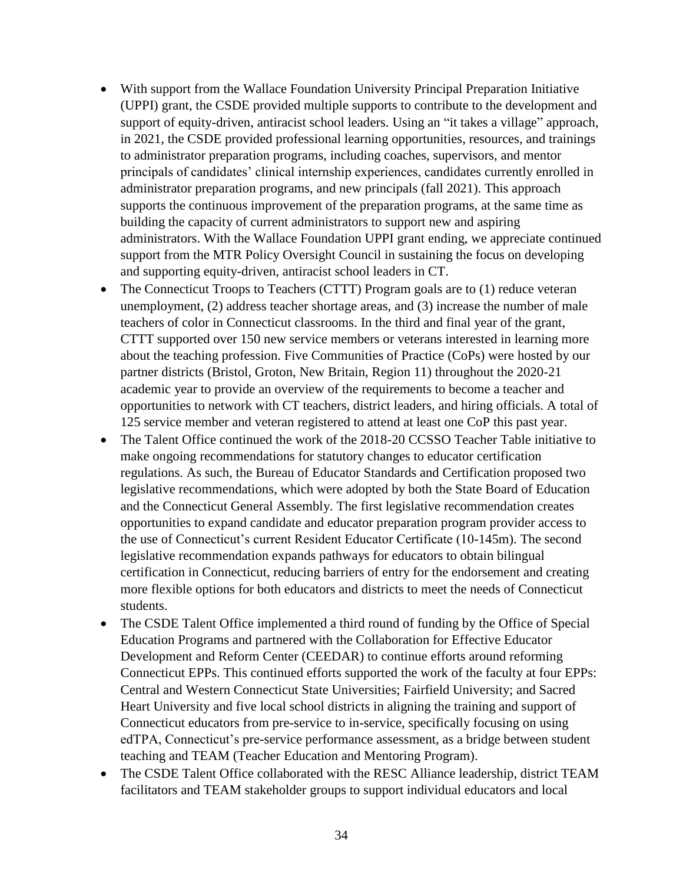- With support from the Wallace Foundation University Principal Preparation Initiative (UPPI) grant, the CSDE provided multiple supports to contribute to the development and support of equity-driven, antiracist school leaders. Using an "it takes a village" approach, in 2021, the CSDE provided professional learning opportunities, resources, and trainings to administrator preparation programs, including coaches, supervisors, and mentor principals of candidates' clinical internship experiences, candidates currently enrolled in administrator preparation programs, and new principals (fall 2021). This approach supports the continuous improvement of the preparation programs, at the same time as building the capacity of current administrators to support new and aspiring administrators. With the Wallace Foundation UPPI grant ending, we appreciate continued support from the MTR Policy Oversight Council in sustaining the focus on developing and supporting equity-driven, antiracist school leaders in CT.
- The Connecticut Troops to Teachers (CTTT) Program goals are to (1) reduce veteran unemployment, (2) address teacher shortage areas, and (3) increase the number of male teachers of color in Connecticut classrooms. In the third and final year of the grant, CTTT supported over 150 new service members or veterans interested in learning more about the teaching profession. Five Communities of Practice (CoPs) were hosted by our partner districts (Bristol, Groton, New Britain, Region 11) throughout the 2020-21 academic year to provide an overview of the requirements to become a teacher and opportunities to network with CT teachers, district leaders, and hiring officials. A total of 125 service member and veteran registered to attend at least one CoP this past year.
- The Talent Office continued the work of the 2018-20 CCSSO Teacher Table initiative to make ongoing recommendations for statutory changes to educator certification regulations. As such, the Bureau of Educator Standards and Certification proposed two legislative recommendations, which were adopted by both the State Board of Education and the Connecticut General Assembly. The first legislative recommendation creates opportunities to expand candidate and educator preparation program provider access to the use of Connecticut's current Resident Educator Certificate (10-145m). The second legislative recommendation expands pathways for educators to obtain bilingual certification in Connecticut, reducing barriers of entry for the endorsement and creating more flexible options for both educators and districts to meet the needs of Connecticut students.
- The CSDE Talent Office implemented a third round of funding by the Office of Special Education Programs and partnered with the Collaboration for Effective Educator Development and Reform Center (CEEDAR) to continue efforts around reforming Connecticut EPPs. This continued efforts supported the work of the faculty at four EPPs: Central and Western Connecticut State Universities; Fairfield University; and Sacred Heart University and five local school districts in aligning the training and support of Connecticut educators from pre-service to in-service, specifically focusing on using edTPA, Connecticut's pre-service performance assessment, as a bridge between student teaching and TEAM (Teacher Education and Mentoring Program).
- The CSDE Talent Office collaborated with the RESC Alliance leadership, district TEAM facilitators and TEAM stakeholder groups to support individual educators and local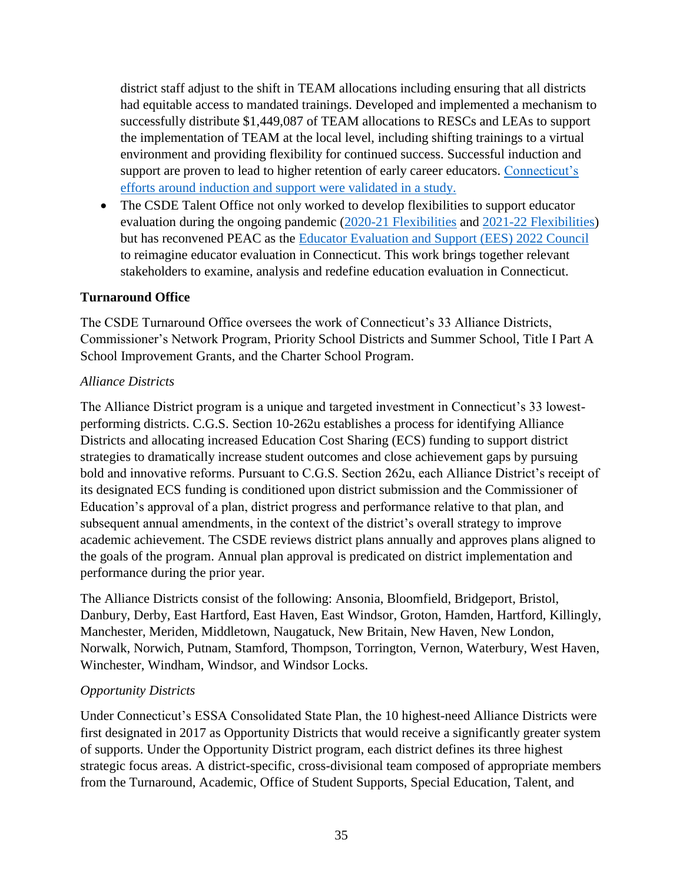district staff adjust to the shift in TEAM allocations including ensuring that all districts had equitable access to mandated trainings. Developed and implemented a mechanism to successfully distribute \$1,449,087 of TEAM allocations to RESCs and LEAs to support the implementation of TEAM at the local level, including shifting trainings to a virtual environment and providing flexibility for continued success. Successful induction and support are proven to lead to higher retention of early career educators. Connecticut's [efforts around induction and support were validated in a study.](https://ies.ed.gov/ncee/edlabs/regions/northeast/pdf/REL_2020022.pdf)

• The CSDE Talent Office not only worked to develop flexibilities to support educator evaluation during the ongoing pandemic [\(2020-21 Flexibilities](https://portal.ct.gov/-/media/SDE/Digest/2020-21/Educator-Guidelines-Flexibilities-Memo081120.pdf) and 2021-22 [Flexibilities\)](https://portal.ct.gov/-/media/SDE/Digest/2020-21/EducatorGuidelinesFlexibilitiesMemo692021.pdf) but has reconvened PEAC as the [Educator Evaluation and Support \(EES\) 2022 Council](https://portal.ct.gov/SDE/Evaluation-and-Support/Educator-Evaluation-and-Support-Council) to reimagine educator evaluation in Connecticut. This work brings together relevant stakeholders to examine, analysis and redefine education evaluation in Connecticut.

#### **Turnaround Office**

The CSDE Turnaround Office oversees the work of Connecticut's 33 Alliance Districts, Commissioner's Network Program, Priority School Districts and Summer School, Title I Part A School Improvement Grants, and the Charter School Program.

#### *Alliance Districts*

The Alliance District program is a unique and targeted investment in Connecticut's 33 lowestperforming districts. C.G.S. Section 10-262u establishes a process for identifying Alliance Districts and allocating increased Education Cost Sharing (ECS) funding to support district strategies to dramatically increase student outcomes and close achievement gaps by pursuing bold and innovative reforms. Pursuant to C.G.S. Section 262u, each Alliance District's receipt of its designated ECS funding is conditioned upon district submission and the Commissioner of Education's approval of a plan, district progress and performance relative to that plan, and subsequent annual amendments, in the context of the district's overall strategy to improve academic achievement. The CSDE reviews district plans annually and approves plans aligned to the goals of the program. Annual plan approval is predicated on district implementation and performance during the prior year.

The Alliance Districts consist of the following: Ansonia, Bloomfield, Bridgeport, Bristol, Danbury, Derby, East Hartford, East Haven, East Windsor, Groton, Hamden, Hartford, Killingly, Manchester, Meriden, Middletown, Naugatuck, New Britain, New Haven, New London, Norwalk, Norwich, Putnam, Stamford, Thompson, Torrington, Vernon, Waterbury, West Haven, Winchester, Windham, Windsor, and Windsor Locks.

#### *Opportunity Districts*

Under Connecticut's ESSA Consolidated State Plan, the 10 highest-need Alliance Districts were first designated in 2017 as Opportunity Districts that would receive a significantly greater system of supports. Under the Opportunity District program, each district defines its three highest strategic focus areas. A district-specific, cross-divisional team composed of appropriate members from the Turnaround, Academic, Office of Student Supports, Special Education, Talent, and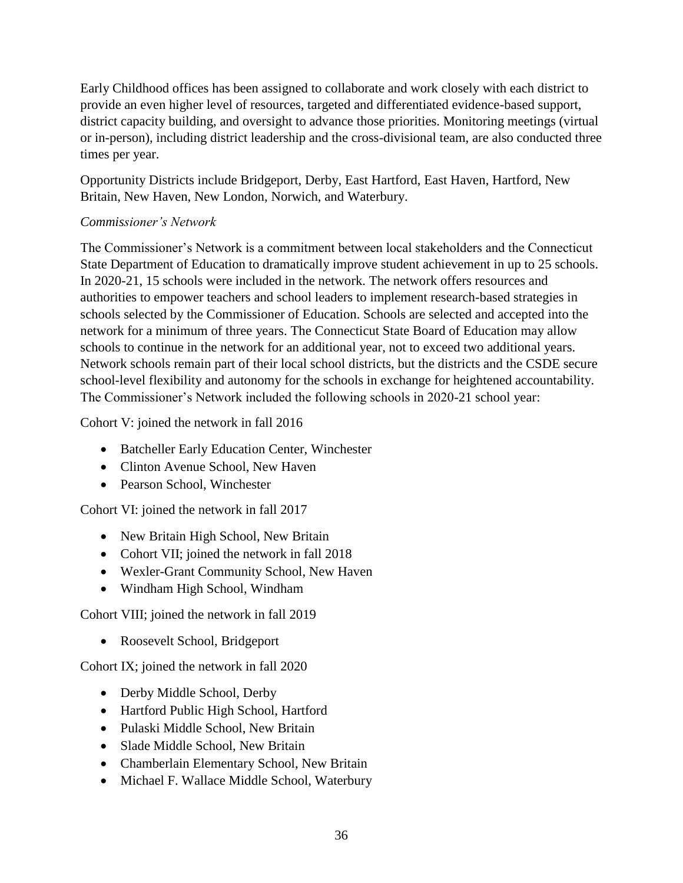Early Childhood offices has been assigned to collaborate and work closely with each district to provide an even higher level of resources, targeted and differentiated evidence-based support, district capacity building, and oversight to advance those priorities. Monitoring meetings (virtual or in-person), including district leadership and the cross-divisional team, are also conducted three times per year.

Opportunity Districts include Bridgeport, Derby, East Hartford, East Haven, Hartford, New Britain, New Haven, New London, Norwich, and Waterbury.

# *Commissioner's Network*

The Commissioner's Network is a commitment between local stakeholders and the Connecticut State Department of Education to dramatically improve student achievement in up to 25 schools. In 2020-21, 15 schools were included in the network. The network offers resources and authorities to empower teachers and school leaders to implement research-based strategies in schools selected by the Commissioner of Education. Schools are selected and accepted into the network for a minimum of three years. The Connecticut State Board of Education may allow schools to continue in the network for an additional year, not to exceed two additional years. Network schools remain part of their local school districts, but the districts and the CSDE secure school-level flexibility and autonomy for the schools in exchange for heightened accountability. The Commissioner's Network included the following schools in 2020-21 school year:

Cohort V: joined the network in fall 2016

- Batcheller Early Education Center, Winchester
- Clinton Avenue School, New Haven
- Pearson School, Winchester

Cohort VI: joined the network in fall 2017

- New Britain High School, New Britain
- Cohort VII; joined the network in fall 2018
- Wexler-Grant Community School, New Haven
- Windham High School, Windham

Cohort VIII; joined the network in fall 2019

• Roosevelt School, Bridgeport

Cohort IX; joined the network in fall 2020

- Derby Middle School, Derby
- Hartford Public High School, Hartford
- Pulaski Middle School, New Britain
- Slade Middle School, New Britain
- Chamberlain Elementary School, New Britain
- Michael F. Wallace Middle School, Waterbury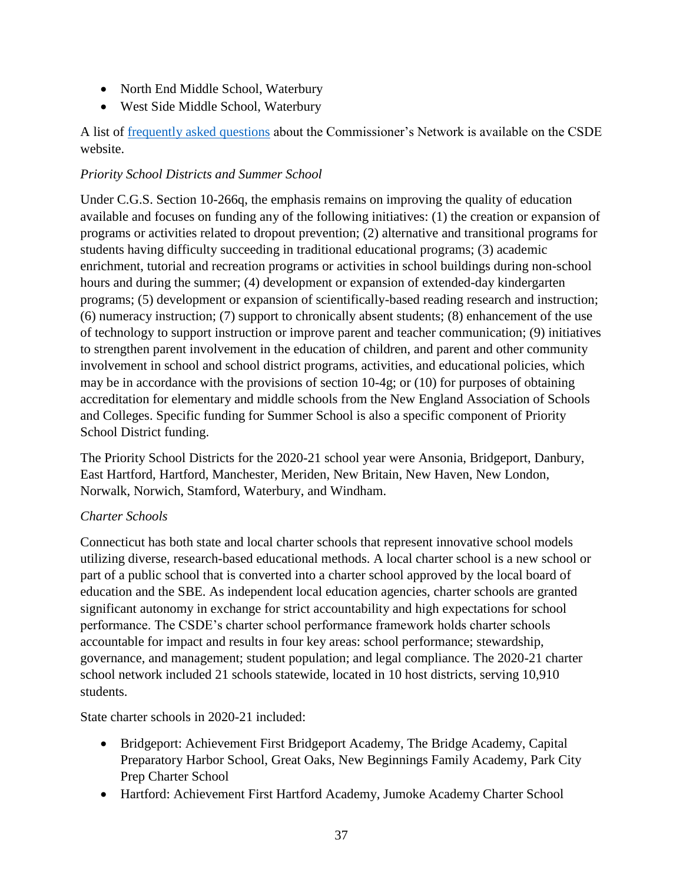- North End Middle School, Waterbury
- West Side Middle School, Waterbury

A list of [frequently asked questions](https://portal.ct.gov/SDE/Commissioners-Network/Commissioners-Network) about the Commissioner's Network is available on the CSDE website.

## *Priority School Districts and Summer School*

Under C.G.S. Section 10-266q, the emphasis remains on improving the quality of education available and focuses on funding any of the following initiatives: (1) the creation or expansion of programs or activities related to dropout prevention; (2) alternative and transitional programs for students having difficulty succeeding in traditional educational programs; (3) academic enrichment, tutorial and recreation programs or activities in school buildings during non-school hours and during the summer; (4) development or expansion of extended-day kindergarten programs; (5) development or expansion of scientifically-based reading research and instruction; (6) numeracy instruction; (7) support to chronically absent students; (8) enhancement of the use of technology to support instruction or improve parent and teacher communication; (9) initiatives to strengthen parent involvement in the education of children, and parent and other community involvement in school and school district programs, activities, and educational policies, which may be in accordance with the provisions of section 10-4g; or (10) for purposes of obtaining accreditation for elementary and middle schools from the New England Association of Schools and Colleges. Specific funding for Summer School is also a specific component of Priority School District funding.

The Priority School Districts for the 2020-21 school year were Ansonia, Bridgeport, Danbury, East Hartford, Hartford, Manchester, Meriden, New Britain, New Haven, New London, Norwalk, Norwich, Stamford, Waterbury, and Windham.

# *Charter Schools*

Connecticut has both state and local charter schools that represent innovative school models utilizing diverse, research-based educational methods. A local charter school is a new school or part of a public school that is converted into a charter school approved by the local board of education and the SBE. As independent local education agencies, charter schools are granted significant autonomy in exchange for strict accountability and high expectations for school performance. The CSDE's charter school performance framework holds charter schools accountable for impact and results in four key areas: school performance; stewardship, governance, and management; student population; and legal compliance. The 2020-21 charter school network included 21 schools statewide, located in 10 host districts, serving 10,910 students.

State charter schools in 2020-21 included:

- Bridgeport: Achievement First Bridgeport Academy, The Bridge Academy, Capital Preparatory Harbor School, Great Oaks, New Beginnings Family Academy, Park City Prep Charter School
- Hartford: Achievement First Hartford Academy, Jumoke Academy Charter School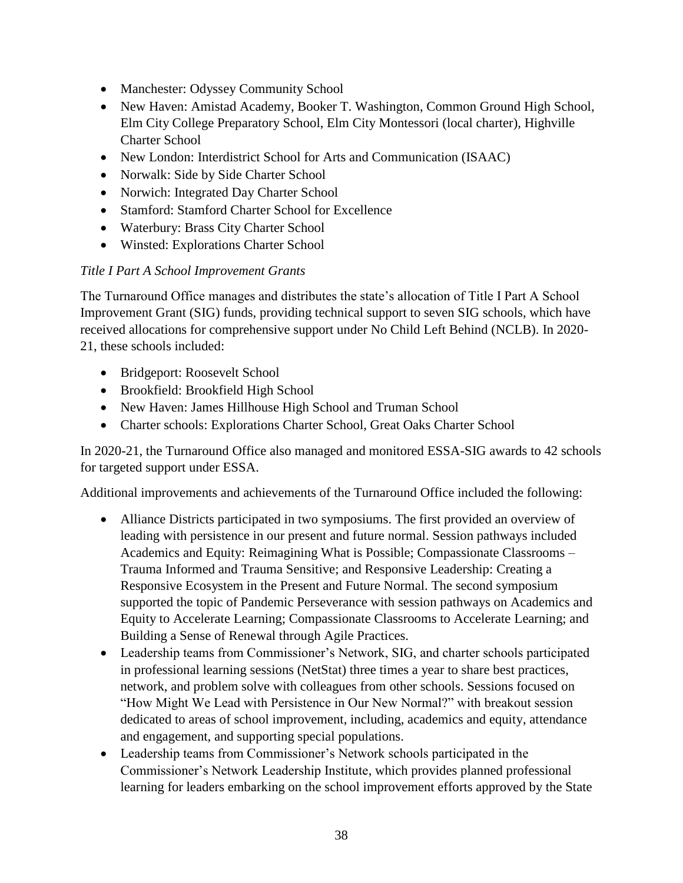- Manchester: Odyssey Community School
- New Haven: Amistad Academy, Booker T. Washington, Common Ground High School, Elm City College Preparatory School, Elm City Montessori (local charter), Highville Charter School
- New London: Interdistrict School for Arts and Communication (ISAAC)
- Norwalk: Side by Side Charter School
- Norwich: Integrated Day Charter School
- Stamford: Stamford Charter School for Excellence
- Waterbury: Brass City Charter School
- Winsted: Explorations Charter School

# *Title I Part A School Improvement Grants*

The Turnaround Office manages and distributes the state's allocation of Title I Part A School Improvement Grant (SIG) funds, providing technical support to seven SIG schools, which have received allocations for comprehensive support under No Child Left Behind (NCLB). In 2020- 21, these schools included:

- Bridgeport: Roosevelt School
- Brookfield: Brookfield High School
- New Haven: James Hillhouse High School and Truman School
- Charter schools: Explorations Charter School, Great Oaks Charter School

In 2020-21, the Turnaround Office also managed and monitored ESSA-SIG awards to 42 schools for targeted support under ESSA.

Additional improvements and achievements of the Turnaround Office included the following:

- Alliance Districts participated in two symposiums. The first provided an overview of leading with persistence in our present and future normal. Session pathways included Academics and Equity: Reimagining What is Possible; Compassionate Classrooms – Trauma Informed and Trauma Sensitive; and Responsive Leadership: Creating a Responsive Ecosystem in the Present and Future Normal. The second symposium supported the topic of Pandemic Perseverance with session pathways on Academics and Equity to Accelerate Learning; Compassionate Classrooms to Accelerate Learning; and Building a Sense of Renewal through Agile Practices.
- Leadership teams from Commissioner's Network, SIG, and charter schools participated in professional learning sessions (NetStat) three times a year to share best practices, network, and problem solve with colleagues from other schools. Sessions focused on "How Might We Lead with Persistence in Our New Normal?" with breakout session dedicated to areas of school improvement, including, academics and equity, attendance and engagement, and supporting special populations.
- Leadership teams from Commissioner's Network schools participated in the Commissioner's Network Leadership Institute, which provides planned professional learning for leaders embarking on the school improvement efforts approved by the State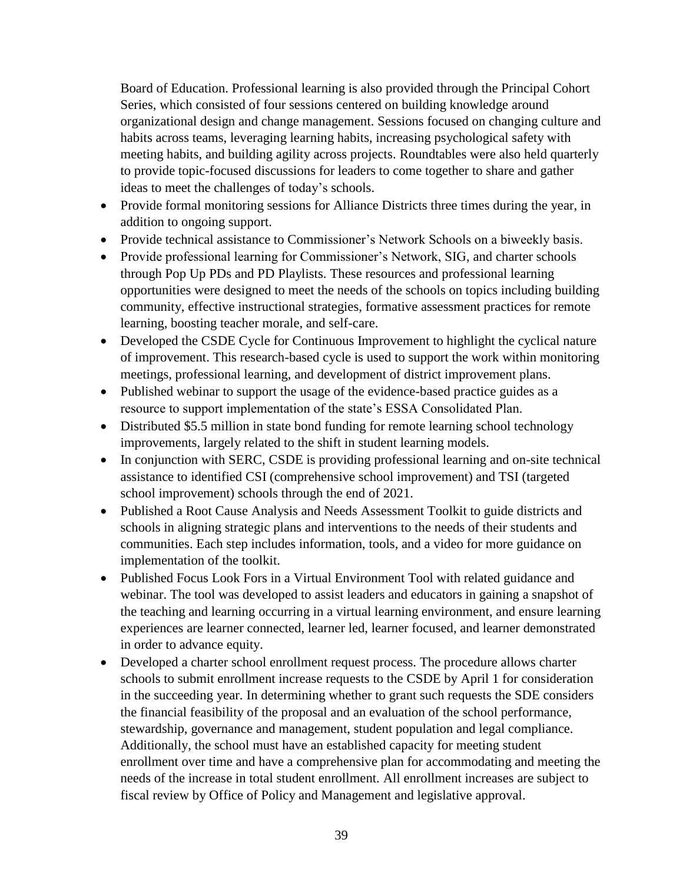Board of Education. Professional learning is also provided through the Principal Cohort Series, which consisted of four sessions centered on building knowledge around organizational design and change management. Sessions focused on changing culture and habits across teams, leveraging learning habits, increasing psychological safety with meeting habits, and building agility across projects. Roundtables were also held quarterly to provide topic-focused discussions for leaders to come together to share and gather ideas to meet the challenges of today's schools.

- Provide formal monitoring sessions for Alliance Districts three times during the year, in addition to ongoing support.
- Provide technical assistance to Commissioner's Network Schools on a biweekly basis.
- Provide professional learning for Commissioner's Network, SIG, and charter schools through Pop Up PDs and PD Playlists. These resources and professional learning opportunities were designed to meet the needs of the schools on topics including building community, effective instructional strategies, formative assessment practices for remote learning, boosting teacher morale, and self-care.
- Developed the CSDE Cycle for Continuous Improvement to highlight the cyclical nature of improvement. This research-based cycle is used to support the work within monitoring meetings, professional learning, and development of district improvement plans.
- Published webinar to support the usage of the evidence-based practice guides as a resource to support implementation of the state's ESSA Consolidated Plan.
- Distributed \$5.5 million in state bond funding for remote learning school technology improvements, largely related to the shift in student learning models.
- In conjunction with SERC, CSDE is providing professional learning and on-site technical assistance to identified CSI (comprehensive school improvement) and TSI (targeted school improvement) schools through the end of 2021.
- Published a Root Cause Analysis and Needs Assessment Toolkit to guide districts and schools in aligning strategic plans and interventions to the needs of their students and communities. Each step includes information, tools, and a video for more guidance on implementation of the toolkit.
- Published Focus Look Fors in a Virtual Environment Tool with related guidance and webinar. The tool was developed to assist leaders and educators in gaining a snapshot of the teaching and learning occurring in a virtual learning environment, and ensure learning experiences are learner connected, learner led, learner focused, and learner demonstrated in order to advance equity.
- Developed a charter school enrollment request process. The procedure allows charter schools to submit enrollment increase requests to the CSDE by April 1 for consideration in the succeeding year. In determining whether to grant such requests the SDE considers the financial feasibility of the proposal and an evaluation of the school performance, stewardship, governance and management, student population and legal compliance. Additionally, the school must have an established capacity for meeting student enrollment over time and have a comprehensive plan for accommodating and meeting the needs of the increase in total student enrollment. All enrollment increases are subject to fiscal review by Office of Policy and Management and legislative approval.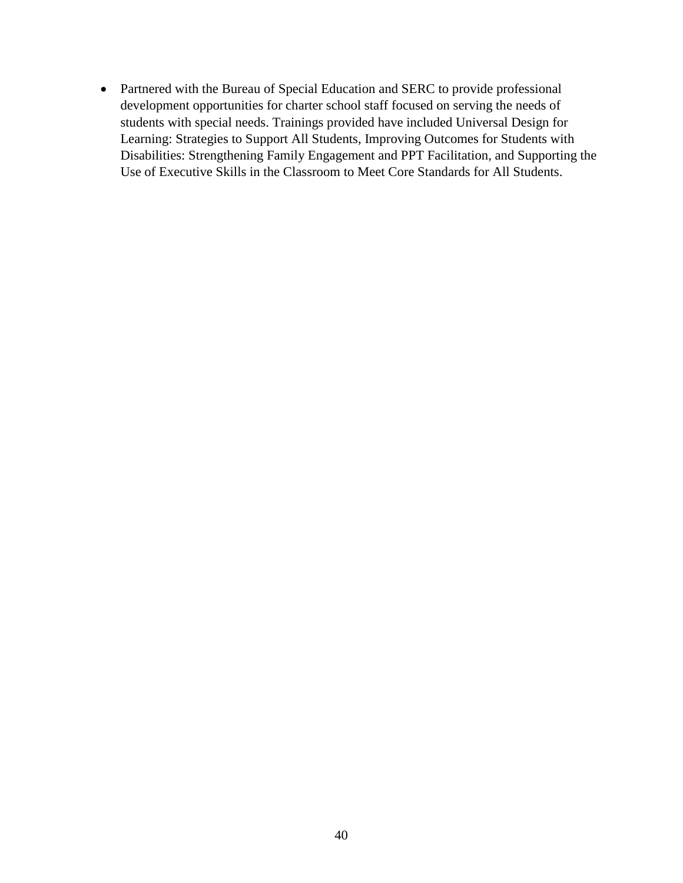• Partnered with the Bureau of Special Education and SERC to provide professional development opportunities for charter school staff focused on serving the needs of students with special needs. Trainings provided have included Universal Design for Learning: Strategies to Support All Students, Improving Outcomes for Students with Disabilities: Strengthening Family Engagement and PPT Facilitation, and Supporting the Use of Executive Skills in the Classroom to Meet Core Standards for All Students.